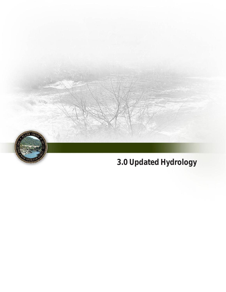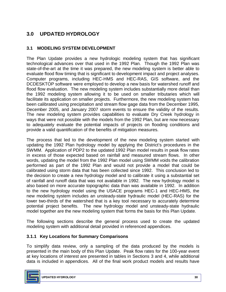# **3.0 UPDATED HYDROLOGY**

## **3.1 MODELING SYSTEM DEVELOPMENT**

 The Plan Update provides a new hydrologic modeling system that has significant technological advances over that used in the 1992 Plan. Though the 1992 Plan was state-of-the-art at the time it was prepared, the new modeling system is better able to Computer programs, including HEC-HMS and HEC-RAS, GIS software, and the DCDESKTOP software were employed to develop a new basis for watershed runoff and flood flow evaluation. The new modeling system includes substantially more detail than the 1992 modeling system allowing it to be used on smaller tributaries which will facilitate its application on smaller projects. Furthermore, the new modeling system has been calibrated using precipitation and stream flow gage data from the December 1995, December 2005, and January 2007 storm events to ensure the validity of the results. The new modeling system provides capabilities to evaluate Dry Creek hydrology in ways that were not possible with the models from the 1992 Plan, but are now necessary to adequately evaluate the potential impacts of projects on flooding conditions and evaluate flood flow timing that is significant to development impact and project analyses. provide a valid quantification of the benefits of mitigation measures.

 The process that led to the development of the new modeling system started with updating the 1992 Plan hydrology model by applying the District's procedures in the SWMM. Application of PDP2 to the updated 1992 Plan model results in peak flow rates in excess of those expected based on rainfall and measured stream flows. In other words, updating the model from the 1992 Plan model using SWMM voids the calibration performed as part of the 1992 Plan and would not provide a model that could be calibrated using storm data that has been collected since 1992. This conclusion led to the decision to create a new hydrology model and to calibrate it using a substantial set of rainfall and runoff data that was not available in 1992. The new hydrology model is also based on more accurate topographic data than was available in 1992. In addition to the new hydrology model using the USACE programs HEC-1 and HEC-HMS, the lower two-thirds of the watershed that is a key tool necessary to accurately determine potential project benefits. The new hydrology model and unsteady-state hydraulic model together are the new modeling system that forms the basis for this Plan Update. new modeling system includes an unsteady-state hydraulic model (HEC-RAS) for the

 The following sections describe the general process used to create the updated modeling system with additional detail provided in referenced appendices.

### **3.1.1 Key Locations for Summary Comparisons**

 To simplify data review, only a sampling of the data produced by the models is presented in the main body of this Plan Update. Peak flow rates for the 100-year event at key locations of interest are presented in tables in Sections 3 and 4, while additional data is included in appendices. All of the final work product models and results have

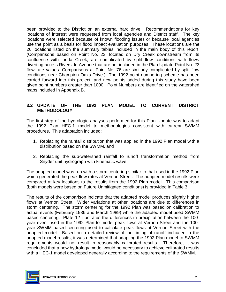been provided to the District on an external hard drive. Recommendations for key locations of interest were requested from local agencies and District staff. The key locations were selected because of known flooding issues or because local agencies use the point as a basis for flood impact evaluation purposes. These locations are the 26 locations listed on the summary tables included in the main body of this report. (Comparisons based on Point No. 23, located on Dry Creek downstream from its confluence with Linda Creek, are complicated by split flow conditions with flows diverting across Riverside Avenue that are not included in the Plan Update Point No. 23 flow rate values. Comparisons at Point No. 76 are similarly complicated by split flow conditions near Champion Oaks Drive.) The 1992 point numbering scheme has been carried forward into this project, and new points added during this study have been given point numbers greater than 1000. Point Numbers are identified on the watershed maps included in Appendix B.

### **3.2 UPDATE OF THE 1992 PLAN MODEL TO CURRENT DISTRICT METHODOLOGY**

 The first step of the hydrologic analyses performed for this Plan Update was to adapt the 1992 Plan HEC-1 model to methodologies consistent with current SWMM procedures. This adaptation included:

- 1. Replacing the rainfall distribution that was applied in the 1992 Plan model with a distribution based on the SWMM, and
- 2. Replacing the sub-watershed rainfall to runoff transformation method from Snyder unit hydrograph with kinematic wave.

 The adapted model was run with a storm centering similar to that used in the 1992 Plan which generated the peak flow rates at Vernon Street. The adapted model results were compared at key locations to the results from the 1992 Plan model. This comparison (both models were based on Future Unmitigated conditions) is provided in Table 3.

 The results of the comparison indicate that the adapted model produces slightly higher flows at Vernon Street. Wider variations at other locations are due to differences in storm centering. The storm centering for the 1992 Plan was based on calibration to actual events (February 1986 and March 1989) while the adapted model used SWMM year event used in the 1992 Plan to model peak flows at Vernon Street and the 100- year SWMM based centering used to calculate peak flows at Vernon Street with the adapted model. Based on a detailed review of the timing of runoff indicated in the adapted model results, it was determined that adapting the 1992 Plan model to SWMM requirements would not result in reasonably calibrated results. Therefore, it was concluded that a new hydrology model would be necessary to achieve calibrated results with a HEC-1 model developed generally according to the requirements of the SWMM. based centering. Plate 12 illustrates the differences in precipitation between the 100-

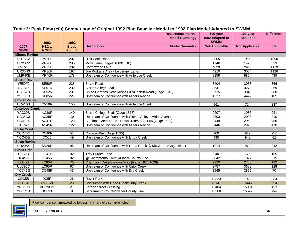|                       |                      |                        | <b>Recurrence Interval:</b>                                    | 100-year                       | 100-year              | <b>Difference</b> |
|-----------------------|----------------------|------------------------|----------------------------------------------------------------|--------------------------------|-----------------------|-------------------|
|                       | 1992                 | 1992                   | <b>Model Hydrology:</b>                                        | 1992 Adapted to<br><b>SWMM</b> | <b>1992 Plan</b>      |                   |
| 2007<br><b>NODE</b>   | HEC-1<br><b>NODE</b> | <b>Study</b><br>Point# | <b>Model Geometry:</b><br><b>Description</b>                   | <b>Not Applicable</b>          | <b>Not Applicable</b> | <b>cfs</b>        |
| <b>Miners Ravine</b>  |                      |                        |                                                                |                                |                       |                   |
| <b>UR15K2</b>         | <b>MR15</b>          | 207                    | <b>Dick Cook Road</b>                                          | 2005                           | 915                   | 1090              |
| <b>UR20P2</b>         | MR <sub>20R</sub>    | 205                    | Moss Lane (Gages 1609/1610)                                    | 1746                           | 1423                  | 323               |
| <b>YMR29I</b>         | MR <sub>29R</sub>    | $\overline{202}$       | Cottonwood Lake                                                | 4029                           | 2910                  | 1119              |
| <b>UR30H3</b>         | MR30R                | 197                    | Joe Rodgers Area - Leibenger Lane                              | 4210                           | 3084                  | 1126              |
| UMR40E                | MR40R                | 178                    | Upstream of Confluence with Antelope Creek                     | 9359                           | 8864                  | 495               |
| <b>Secret Ravine</b>  |                      |                        |                                                                |                                |                       |                   |
| <b>YE50F2</b>         | SE50R                | 235                    | <b>Brace Road</b>                                              | 3404                           | 3038                  | 366               |
| YSE51K                | SE51R                | 232                    | Sierra College Blvd.                                           | 3641                           | 3272                  | 369               |
| <b>USE52D</b>         | SE52R                | 231                    | China Gardens Near Rustic Hills/Rocklin Road (Gage 1618)       | 3725                           | 3345                  | 380               |
| <b>YSE85Q</b>         | SE85R                | 227                    | Upstream of Confluence with Miners Ravine                      | 4527                           | 4422                  | 105               |
| <b>Clover Valley</b>  |                      |                        |                                                                |                                |                       |                   |
| UCV10B                | CV <sub>10R</sub>    | 155                    | Upstream of Confluence with Antelope Creek                     | 961                            | 724                   | 237               |
| <b>Antelope Creek</b> |                      |                        |                                                                |                                |                       |                   |
| YAC30B                | AC30R                | 140                    | Sierra College Blvd. (Gage 1573)                               | 2207                           | 1986                  | $\overline{221}$  |
| <b>UC35G3</b>         | AC35R                | 134                    | Upstream of Confluence with Clover Valley - Midas Avenue       | 2303                           | 2093                  | 210               |
| <b>UC41E4</b>         | AC41R                | 126                    | Antelope Creek Road - Downstream of SR-65 (Gage 1583)          | 3449                           | 2963                  | 486               |
| UDC4D                 | AC45R                | $\overline{122}$       | Upstream of Confluence with Miners Ravine                      | 3446                           | 2970                  | 476               |
| <b>Cirby Creek</b>    |                      |                        |                                                                |                                |                       |                   |
| YCC40C                | CC40R                | 51                     | Coloma Way (Gage 1635)                                         | 900                            | 912                   | $-12$             |
| YCC45E                | CCC <sub>5</sub>     | 49                     | Upstream of Confluence with Linda Creek                        | 935                            | 948                   | $-13$             |
| <b>Strap Ravine</b>   |                      |                        |                                                                |                                |                       |                   |
| <b>UR20A4</b>         | SR <sub>20R</sub>    | 96                     | Upstream of Confluence with Linda Creek @ McClaren (Gage 1611) | 1214                           | 972                   | 242               |
| <b>Linda Creek</b>    |                      |                        |                                                                |                                |                       |                   |
| ULC5B                 | LCC1                 | 92                     | <b>Troy Purdee Lane</b>                                        | 940                            | 775                   | 165               |
| <b>UC45J2</b>         | LC45R                | 82                     | @ Sacramento County/Placer County Line                         | 2042                           | 1827                  | 215               |
| <b>ULC801</b>         | LC80R                | 76                     | Champion Oaks/Sanoma Way (Gage 1626/1628)                      | 2920                           | 2788                  | 132               |
| ULC95C                | LC95R                | 67                     | Upstream of Confluence with Cirby Creek                        | 3757                           | 3629                  | 128               |
| YCC45G                | CC45R                | 45                     | Upstream of Confluence with Dry Creek                          | 3965                           | 3895                  | $\overline{70}$   |
| <b>Dry Creek</b>      |                      |                        |                                                                |                                |                       |                   |
| UDC5B                 | DC <sub>5R</sub>     | $\overline{26}$        | <b>Royer Park</b>                                              | 12323                          | 11489                 | 834               |
| <b>YDCCC</b>          | <b>RYCOMB</b>        | 23                     | Confluence with Linda Creek/Cirby Creek                        | 16141                          | 15447                 | 694               |
| YDC10D                | <b>VERNON</b>        | $\overline{21}$        | Vernon Street Crossing                                         | 15484                          | 15051                 | 433               |
| YDC71B                | DCC11                | $\overline{9}$         | Sacramento County/Placer County Line                           | 15568                          | 15622                 | $-54$             |

#### **Table 3: Peak Flow (cfs) Comparison of Original 1992 Plan Baseline Model to 1992 Plan Model Adapted to SWMM**

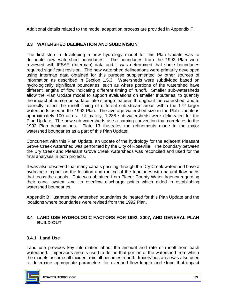Additional details related to the model adaptation process are provided in Appendix F.

### **3.3 WATERSHED DELINEATION AND SUBDIVISION**

 The first step in developing a new hydrology model for this Plan Update was to delineate new watershed boundaries. The boundaries from the 1992 Plan were reviewed with IFSAR (Intermap) data and it was determined that some boundaries required significant revision. The new watershed delineations were primarily developed using Intermap data obtained for this purpose supplemented by other sources of information as described in Section 1.5.3. Watersheds were subdivided based on different lengths of flow indicating different timing of runoff. Smaller sub-watersheds allow the Plan Update model to support evaluations on smaller tributaries, to quantify the impact of numerous surface lake storage features throughout the watershed, and to correctly reflect the runoff timing of different sub-stream areas within the 172 larger approximately 100 acres. Ultimately, 1,288 sub-watersheds were delineated for the Plan Update. The new sub-watersheds use a naming convention that correlates to the 1992 Plan designations. Plate 13 illustrates the refinements made to the major hydrologically significant boundaries, such as where portions of the watershed have watersheds used in the 1992 Plan. The average watershed size in the Plan Update is watershed boundaries as a part of this Plan Update.

 Concurrent with this Plan Update, an update of the hydrology for the adjacent Pleasant Grove Creek watershed was performed by the City of Roseville. The boundary between the Dry Creek and Pleasant Grove Creek watersheds was reconciled and used for the final analyses in both projects.

 hydrologic impact on the location and routing of the tributaries with natural flow paths that cross the canals. Data was obtained from Placer County Water Agency regarding their canal system and its overflow discharge points which aided in establishing It was also observed that many canals passing through the Dry Creek watershed have a watershed boundaries.

 Appendix B illustrates the watershed boundaries delineated for this Plan Update and the locations where boundaries were revised from the 1992 Plan.

#### **3.4 LAND USE HYDROLOGIC FACTORS FOR 1992, 2007, AND GENERAL PLAN BUILD-OUT**

### **3.4.1 Land Use**

 Land use provides key information about the amount and rate of runoff from each watershed. Impervious area is used to define that portion of the watershed from which the models assume all incident rainfall becomes runoff. Impervious area was also used to determine appropriate parameters for overland flow length and slope that impact

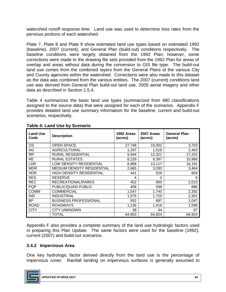watershed runoff response time. Land use was used to determine loss rates from the pervious portions of each watershed.

 Plate 7, Plate 8 and Plate 9 show estimated land use types based on estimated 1992 (baseline), 2007 (current), and General Plan (build-out) conditions respectively. The baseline conditions were largely obtained from the 1992 Plan; however, some corrections were made to the drawing file sets provided from the 1992 Plan for areas of overlap and areas without data during the conversion to GIS file type. The build-out land use comes from the combined layers from the General Plans of the various City and County agencies within the watershed. Corrections were also made to this dataset as the data was combined from the various entities. The 2007 (current) conditions land use was derived from General Plan build-out land use, 2005 aerial imagery and other data as described in Section 1.5.4.

 Table 4 summarizes the basic land use types (summarized from 480 classifications assigned to the source data) that were assigned for each of the scenarios. Appendix F provides detailed land use summary information for the baseline, current and build-out scenarios, respectively.

| <b>Land Use</b><br>Code | <b>Description</b>              | 1992 Areas<br>(acres) | 2007 Areas<br>(acres) | <b>General Plan</b><br>(acres) |
|-------------------------|---------------------------------|-----------------------|-----------------------|--------------------------------|
| <b>OS</b>               | <b>OPEN SPACE</b>               | 27,748                | 19,002                | 3,703                          |
| AG                      | <b>AGRICULTURAL</b>             | 1,297                 | 1,516                 | 2,463                          |
| <b>RR</b>               | <b>RURAL RESIDENTIAL</b>        | 9,944                 | 12,321                | 17,202                         |
| <b>RE</b>               | <b>RURAL ESTATES</b>            | 8,229                 | 8,397                 | 10,986                         |
| <b>LDR</b>              | LOW DENSITY RESIDENTIAL         | 8,868                 | 13,117                | 16,191                         |
| <b>MDR</b>              | MEDIUM DENSITY RESIDENTIAL      | 2,665                 | 3,030                 | 3,464                          |
| <b>HDR</b>              | <b>HIGH DENSITY RESIDENTIAL</b> | 441                   | 529                   | 604                            |
| <b>RES</b>              | <b>RESERVE</b>                  | 4                     | 4                     | 8                              |
| <b>REC</b>              | RECREATIONAL/PARKS              | 452                   | 600                   | 2,013                          |
| <b>PQP</b>              | PUBLIC/QUASI PUBLIC             | 408                   | 598                   | 886                            |
| <b>COMM</b>             | <b>COMMERCIAL</b>               | 1,547                 | 1,740                 | 2,392                          |
| <b>IND</b>              | <b>INDUSTRIAL</b>               | 1,575                 | 1,725                 | 2,301                          |
| <b>BP</b>               | <b>BUSINESS PROFESSIONAL</b>    | 552                   | 887                   | 1,047                          |
| <b>ROAD</b>             | <b>ROADWAYS</b>                 | 1,136                 | 1,416                 | 1,598                          |
| <b>CITY</b>             | <b>CITY UNKNOWN</b>             | 38                    | 44                    | 67                             |
|                         | TOTAL                           | 64,903                | 64,924                | 64,924                         |

#### **Table 4: Land Use by Scenario**

 Appendix F also provides a complete summary of the land use hydrologic factors used in preparing this Plan Update. The same factors were used for the baseline (1992), current (2007) and build-out scenarios.

#### **3.4.2 Impervious Area**

 One key hydrologic factor derived directly from the land use is the percentage of impervious cover. Rainfall landing on impervious surfaces is generally assumed to

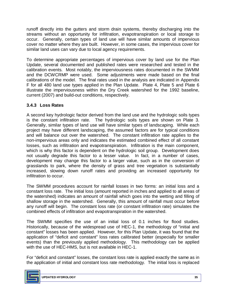runoff directly into the gutters and storm drain systems, thereby discharging into the streams without an opportunity for infiltration, evapotranspiration or local storage to occur. Generally, certain types of land use will have similar amounts of impervious cover no matter where they are built. However, in some cases, the impervious cover for similar land uses can vary due to local agency requirements.

 To determine appropriate percentages of impervious cover by land use for the Plan Update, several documented and published rates were researched and tested in the calibration events. Most notably, the imperviousness rates documented in the SWMM and the DCWCRMP were used. Some adjustments were made based on the final calibrations of the model. The final rates used in the analysis are indicated in Appendix F for all 480 land use types applied in the Plan Update. Plate 4, Plate 5 and Plate 6 illustrate the imperviousness within the Dry Creek watershed for the 1992 baseline, current (2007) and build-out conditions, respectively.

## **3.4.3 Loss Rates**

 A second key hydrologic factor derived from the land use and the hydrologic soils types is the constant infiltration rate. The hydrologic soils types are shown on Plate 3. Generally, similar types of land use will have similar types of landscaping. While each project may have different landscaping, the assumed factors are for typical conditions and will balance out over the watershed. The constant infiltration rate applies to the non-impervious areas only and indicates the estimated combined effect of all constant losses, such as infiltration and evapotranspiration. Infiltration is the main component, which is why this factor is dependent on the hydrologic soil group. Development does not usually degrade this factor to a lesser value. In fact, in a number of cases, development may change this factor to a larger value, such as in the conversion of grasslands to park, where the density of grass and tree vegetation is substantially increased, slowing down runoff rates and providing an increased opportunity for infiltration to occur.

 The SWMM procedures account for rainfall losses in two forms: an initial loss and a constant loss rate. The initial loss (amount reported in inches and applied to all areas of the watershed) indicates an amount of rainfall which goes into the wetting and filling of shallow storage in the watershed. Generally, this amount of rainfall must occur before any runoff will begin. The constant loss rate (or constant infiltration rate) simulates the combined effects of infiltration and evapotranspiration in the watershed.

 The SWMM specifies the use of an initial loss of 0.1 inches for flood studies. Historically, because of the widespread use of HEC-1, the methodology of "initial and constant" losses has been applied. However, for this Plan Update, it was found that the application of "deficit and constant" loss rates calibrated better (especially for smaller events) than the previously applied methodology. This methodology can be applied with the use of HEC-HMS, but is not available in HEC-1.

 For "deficit and constant" losses, the constant loss rate is applied exactly the same as in the application of initial and constant loss rate methodology. The initial loss is replaced

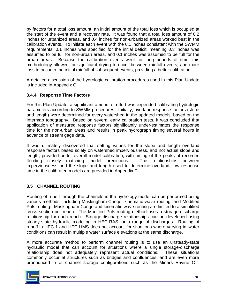by factors for a total loss amount, an initial amount of the total loss which is occupied at the start of the event and a recovery rate. It was found that a total loss amount of 0.2 inches for urbanized areas, and 0.4 inches for non-urbanized areas worked best in the calibration events. To initiate each event with the 0.1 inches consistent with the SWMM requirements, 0.1 inches was specified for the initial deficit, meaning 0.3 inches was assumed to be full for non-urban areas, and 0.1 inches was assumed to be full for the urban areas. Because the calibration events went for long periods of time, this methodology allowed for significant drying to occur between rainfall events, and more loss to occur in the initial rainfall of subsequent events, providing a better calibration.

 A detailed discussion of the hydrologic calibration procedures used in this Plan Update is included in Appendix C.

### **3.4.4 Response Time Factors**

 For this Plan Update, a significant amount of effort was expended calibrating hydrologic parameters according to SWMM procedures. Initially, overland response factors (slope and length) were determined for every watershed in the updated models, based on the Intermap topography. Based on several early calibration tests, it was concluded that time for the non-urban areas and results in peak hydrograph timing several hours in application of measured response factors significantly under-estimates the response advance of stream gage data.

 It was ultimately discovered that setting values for the slope and length overland response factors based solely on watershed imperviousness, and not actual slope and length, provided better overall model calibration, with timing of the peaks of recorded imperviousness and the slope and length used to determine overland flow response time in the calibrated models are provided in Appendix F. flooding closely matching model predictions. The relationships between

### **3.5 CHANNEL ROUTING**

 Routing of runoff through the channels in the hydrology model can be performed using various methods, including Muskingham-Cunge, kinematic wave routing, and Modified Puls routing. Muskingham-Cunge and kinematic wave routing are limited to a simplified cross section per reach. The Modified Puls routing method uses a storage-discharge relationship for each reach. Storage-discharge relationships can be developed using steady-state hydraulic modeling in HEC-RAS for a range of discharges. Routing of runoff in HEC-1 and HEC-HMS does not account for situations where varying tailwater conditions can result in multiple water surface elevations at the same discharge.

 A more accurate method to perform channel routing is to use an unsteady-state hydraulic model that can account for situations where a single storage-discharge relationship does not adequately represent actual conditions. These situations commonly occur at structures such as bridges and confluences, and are even more pronounced in off-channel storage configurations such as the Miners Ravine Off-

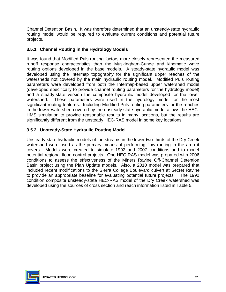Channel Detention Basin. It was therefore determined that an unsteady-state hydraulic routing model would be required to evaluate current conditions and potential future projects.

### **3.5.1 Channel Routing in the Hydrology Models**

 It was found that Modified Puls routing factors more closely represented the measured runoff response characteristics than the Muskingham-Cunge and kinematic wave routing options developed in the base models. A steady-state hydraulic model was developed using the Intermap topography for the significant upper reaches of the watersheds not covered by the main hydraulic routing model. Modified Puls routing (developed specifically to provide channel routing parameters for the hydrology model) and a steady-state version the composite hydraulic model developed for the lower watershed. These parameters were used in the hydrology model for the most significant routing features. Including Modified Puls routing parameters for the reaches in the lower watershed covered by the unsteady-state hydraulic model allows the HEC- HMS simulation to provide reasonable results in many locations, but the results are significantly different from the unsteady HEC-RAS model in some key locations. parameters were developed from both the Intermap-based upper watershed model

### **3.5.2 Unsteady-State Hydraulic Routing Model**

 Unsteady-state hydraulic models of the streams in the lower two-thirds of the Dry Creek watershed were used as the primary means of performing flow routing in the area it covers. Models were created to simulate 1992 and 2007 conditions and to model potential regional flood control projects. One HEC-RAS model was prepared with 2006 conditions to assess the effectiveness of the Miners Ravine Off-Channel Detention Basin project using the Plan Update models. Also, a 2010 model was prepared that included recent modifications to the Sierra College Boulevard culvert at Secret Ravine to provide an appropriate baseline for evaluating potential future projects. The 1992 condition composite unsteady-state HEC-RAS model of the Dry Creek watershed was developed using the sources of cross section and reach information listed in Table 5.

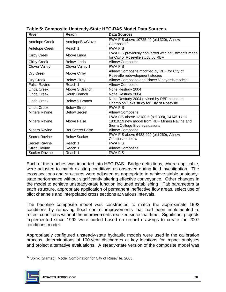| <b>River</b>         | Reach                   | <b>Data Sources</b>                                                                                                              |
|----------------------|-------------------------|----------------------------------------------------------------------------------------------------------------------------------|
| Antelope Creek       | AntelopeBlwClove        | PWA FIS above 10725.49 (old 320), Allnew<br>Composite <sup>30</sup>                                                              |
| Antelope Creek       | Reach 1                 | <b>PWA FIS</b>                                                                                                                   |
| <b>Cirby Creek</b>   | Above Linda             | PWA FIS previously converted with adjustments made<br>for City of Roseville study by RBF                                         |
| <b>Cirby Creek</b>   | Below Linda             | <b>Allnew Composite</b>                                                                                                          |
| <b>Clover Valley</b> | Clover Valley 1         | <b>PWA FIS</b>                                                                                                                   |
| Dry Creek            | Above Cirby             | Allnew Composite modified by RBF for City of<br>Roseville redevelopment studies                                                  |
| Dry Creek            | <b>Below Cirby</b>      | Allnew Composite and Placer Vineyards models                                                                                     |
| <b>False Ravine</b>  | Reach 1                 | <b>Allnew Composite</b>                                                                                                          |
| Linda Creek          | Above S Branch          | Nolte Restudy 2004                                                                                                               |
| Linda Creek          | South Branch            | Nolte Restudy 2004                                                                                                               |
| <b>Linda Creek</b>   | Below S Branch          | Nolte Restudy 2004 revised by RBF based on<br>Champion Oaks study for City of Roseville                                          |
| Linda Creek          | <b>Below Strap</b>      | <b>PWA FIS</b>                                                                                                                   |
| <b>Miners Ravine</b> | <b>Below Secret</b>     | <b>Allnew Composite</b>                                                                                                          |
| <b>Miners Ravine</b> | Above False             | PWA FIS above 13180.5 (old 308), 14146.17 to<br>18310.19 new model from RBF Miners Ravine and<br>Sierra College Blvd evaluations |
| <b>Miners Ravine</b> | <b>Bet Secret-False</b> | <b>Allnew Composite</b>                                                                                                          |
| <b>Secret Ravine</b> | <b>Below Sucker</b>     | PWA FIS above 6488.499 (old 260), Allnew<br>Composite below                                                                      |
| Secret Ravine        | Reach 1                 | <b>PWA FIS</b>                                                                                                                   |
| <b>Strap Ravine</b>  | Reach 1                 | <b>Allnew Composite</b>                                                                                                          |
| <b>Sucker Ravine</b> | Reach 1                 | <b>PWA FIS</b>                                                                                                                   |

 Each of the reaches was imported into HEC-RAS. Bridge definitions, where applicable, were adjusted to match existing conditions as observed during field investigation. The cross sections and structures were adjusted as appropriate to achieve stable unsteady- state performance without significantly altering effective conveyance. Other changes in the model to achieve unsteady-state function included establishing HTab parameters at each structure, appropriate application of permanent ineffective flow areas, select use of pilot channels and interpolated cross sections at various intervals.

 The baseline composite model was constructed to match the approximate 1992 conditions by removing flood control improvements that had been implemented to reflect conditions without the improvements realized since that time. Significant projects implemented since 1992 were added based on record drawings to create the 2007 conditions model.

conditions model.<br>Appropriately configured unsteady-state hydraulic models were used in the calibration and project alternative evaluations. A steady-state version of the composite model was process, determinations of 100-year discharges at key locations for impact analyses

\_\_\_\_\_\_\_\_\_\_\_\_\_\_\_\_\_\_\_\_\_\_\_  $30$  Spink (Stantec), Model Combination for City of Roseville, 2005.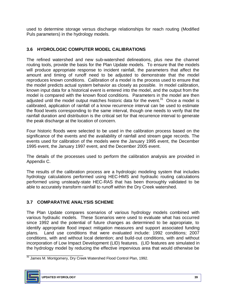used to determine storage versus discharge relationships for reach routing (Modified Puls parameters) in the hydrology models.

## **3.6 HYDROLOGIC COMPUTER MODEL CALIBRATIONS**

 The refined watershed and new sub-watershed delineations, plus new the channel routing tools, provide the basis for the Plan Update models. To ensure that the models will produce appropriate response to incident rainfall, the parameters that affect the reproduces known conditions. Calibration of a model is the process used to ensure that the model predicts actual system behavior as closely as possible. In model calibration, known input data for a historical event is entered into the model, and the output from the model is compared with the known flood conditions. Parameters in the model are then adjusted until the model output matches historic data for the event.<sup>31</sup> Once a model is calibrated, application of rainfall of a know recurrence interval can be used to estimate the flood levels corresponding to the same interval, though one needs to verify that the rainfall duration and distribution is the critical set for that recurrence interval to generate amount and timing of runoff need to be adjusted to demonstrate that the model the peak discharge at the location of concern.

 Four historic floods were selected to be used in the calibration process based on the significance of the events and the availability of rainfall and stream gage records. The events used for calibration of the models were the January 1995 event, the December 1995 event, the January 1997 event, and the December 2005 event.

 The details of the processes used to perform the calibration analysis are provided in Appendix C.

 The results of the calibration process are a hydrologic modeling system that includes hydrology calculations performed using HEC-HMS and hydraulic routing calculations performed using unsteady-state HEC-RAS that has been thoroughly validated to be able to accurately transform rainfall to runoff within the Dry Creek watershed.

## **3.7 COMPARATIVE ANALYSIS SCHEME**

 The Plan Update compares scenarios of various hydrology models combined with various hydraulic models. These Scenarios were used to evaluate what has occurred since 1992 and the potential of future changes as determined to be appropriate, to identify appropriate flood impact mitigation measures and support associated funding plans. Land use conditions that were evaluated include: 1992 conditions; 2007 conditions, with and without local detention; and build-out conditions, with and without incorporation of Low Impact Development (LID) features. (LID features are simulated in the hydrology model by reducing the effective impervious area that would otherwise be

\_\_\_\_\_\_\_\_\_\_\_\_\_\_\_\_\_\_\_\_\_\_\_ <sup>31</sup> James M. Montgomery, Dry Creek Watershed Flood Control Plan, 1992.

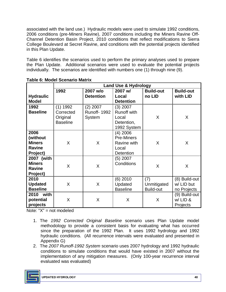2006 conditions (pre-Miners Ravine), 2007 conditions including the Miners Ravine Off- Channel Detention Basin Project, 2010 conditions that reflect modifications to Sierra College Boulevard at Secret Ravine, and conditions with the potential projects identified in this Plan Update. associated with the land use.) Hydraulic models were used to simulate 1992 conditions,

 Table 6 identifies the scenarios used to perform the primary analyses used to prepare the Plan Update. Additional scenarios were used to evaluate the potential projects individually. The scenarios are identified with numbers one (1) through nine (9).

|                  |                 | <b>Land Use &amp; Hydrology</b> |                    |                  |                  |  |  |  |  |
|------------------|-----------------|---------------------------------|--------------------|------------------|------------------|--|--|--|--|
|                  | 1992            | 2007 w/o                        | 2007 w/            | <b>Build-out</b> | <b>Build-out</b> |  |  |  |  |
| <b>Hydraulic</b> |                 | <b>Detention</b>                | Local              | no LID           | with LID         |  |  |  |  |
| <b>Model</b>     |                 |                                 | <b>Detention</b>   |                  |                  |  |  |  |  |
| 1992             | (1) 1992        | $(2)$ 2007                      | $(3)$ 2007         |                  |                  |  |  |  |  |
| <b>Baseline</b>  | Corrected       | <b>Runoff-1992</b>              | <b>Runoff with</b> |                  |                  |  |  |  |  |
|                  | Original        | System                          | Local              | X                | X                |  |  |  |  |
|                  | <b>Baseline</b> |                                 | Detention,         |                  |                  |  |  |  |  |
|                  |                 |                                 | 1992 System        |                  |                  |  |  |  |  |
| 2006             |                 |                                 | $(4)$ 2006         |                  |                  |  |  |  |  |
| (without         |                 |                                 | Pre-Miners         |                  |                  |  |  |  |  |
| <b>Miners</b>    | X               | X                               | Ravine with        | X                | X                |  |  |  |  |
| <b>Ravine</b>    |                 |                                 | Local              |                  |                  |  |  |  |  |
| Project)         |                 |                                 | <b>Detention</b>   |                  |                  |  |  |  |  |
| 2007 (with       |                 |                                 | $(5)$ 2007         |                  |                  |  |  |  |  |
| <b>Miners</b>    | X               | X                               | Conditions         | X                | X                |  |  |  |  |
| <b>Ravine</b>    |                 |                                 |                    |                  |                  |  |  |  |  |
| Project)<br>2010 |                 |                                 | $(6)$ 2010         | (7)              | (8) Build-out    |  |  |  |  |
| <b>Updated</b>   | X               | X                               | Updated            | Unmitigated      | w/ LID but       |  |  |  |  |
| <b>Baseline</b>  |                 |                                 | <b>Baseline</b>    | <b>Build-out</b> | no Projects      |  |  |  |  |
| with<br>2010     |                 |                                 |                    |                  | (9) Build-out    |  |  |  |  |
| potential        | X               | X                               | X                  | X                | w/LID&           |  |  |  |  |
| projects         |                 |                                 |                    |                  | Projects         |  |  |  |  |
|                  |                 |                                 |                    |                  |                  |  |  |  |  |

 **Table 6: Model Scenario Matrix** 

Note: "X" = not modeled

- 1. The *1992 Corrected Original Baseline* scenario uses Plan Update model methodology to provide a consistent basis for evaluating what has occurred since the preparation of the 1992 Plan. It uses 1992 hydrology and 1992 hydraulic conditions. (All recurrence intervals were evaluated and presented in Appendix G)
- 2. The *2007 Runoff-1992 System* scenario uses 2007 hydrology and 1992 hydraulic conditions to simulate conditions that would have existed in 2007 without the implementation of any mitigation measures. (Only 100-year recurrence interval evaluated was evaluated)

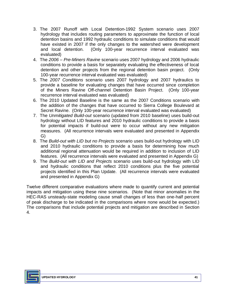- 3. The 2007 Runoff with Local Detention-1992 System scenario uses 2007 hydrology that includes routing parameters to approximate the function of local detention basins and 1992 hydraulic conditions to simulate conditions that would have existed in 2007 if the only changes to the watershed were development and local detention. (Only 100-year recurrence interval evaluated was evaluated)
- 4. The *2006 Pre-Miners Ravine* scenario uses 2007 hydrology and 2006 hydraulic conditions to provide a basis for separately evaluating the effectiveness of local detention and other projects from the regional detention basin project. (Only 100-year recurrence interval evaluated was evaluated)
- 5. The *2007 Conditions* scenario uses 2007 hydrology and 2007 hydraulics to of the Miners Ravine Off-channel Detention Basin Project. (Only 100-year recurrence interval evaluated was evaluated) provide a baseline for evaluating changes that have occurred since completion
- 6. The 2010 Updated Baseline is the same as the 2007 Conditions scenario with the addition of the changes that have occurred to Sierra College Boulevard at Secret Ravine. (Only 100-year recurrence interval evaluated was evaluated)
- 7. The *Unmitigated Build-out* scenario (updated from 2010 baseline) uses build-out hydrology without LID features and 2010 hydraulic conditions to provide a basis for potential impacts if build-out were to occur without any new mitigation measures. (All recurrence intervals were evaluated and presented in Appendix G)
- 8. The *Build-out with LID but no Projects* scenario uses build-out hydrology with LID and 2010 hydraulic conditions to provide a basis for determining how much additional regional attenuation would be required in addition to inclusion of LID features. (All recurrence intervals were evaluated and presented in Appendix G)
- 9. The *Build-out with LID and Projects* scenario uses build-out hydrology with LID and hydraulic conditions that reflect 2010 conditions plus the five potential projects identified in this Plan Update. (All recurrence intervals were evaluated and presented in Appendix G)

 Twelve different comparative evaluations where made to quantify current and potential impacts and mitigation using these nine scenarios. (Note that minor anomalies in the HEC-RAS unsteady-state modeling cause small changes of less than one-half percent of peak discharge to be indicated in the comparisons where none would be expected.) of peak discharge to be indicated in the comparisons where none would be expected.)<br>The comparisons that include potential projects and mitigation are described in Section 4.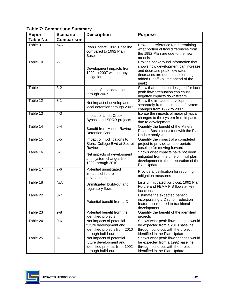|  | <b>Table 7: Comparison Summary</b> |  |
|--|------------------------------------|--|
|--|------------------------------------|--|

| <b>Report</b><br><b>Table No.</b> | <b>Scenario</b><br><b>Comparison</b> | <b>Description</b>                                                                                       | <b>Purpose</b>                                                                                                                                                                               |
|-----------------------------------|--------------------------------------|----------------------------------------------------------------------------------------------------------|----------------------------------------------------------------------------------------------------------------------------------------------------------------------------------------------|
| Table 9                           | N/A                                  | Plan Update 1992 Baseline<br>compared to 1992 Plan<br><b>Baseline</b>                                    | Provide a reference for determining<br>what portion of flow differences from<br>the 1992 Plan are due to the new<br>models                                                                   |
| Table 10                          | $2 - 1$                              | Development impacts from<br>1992 to 2007 without any<br>mitigation                                       | Provide background information that<br>shows how development can increase<br>and decrease peak flow rates<br>(increases are due to accelerating<br>added runoff volume ahead of the<br>peak) |
| Table 11                          | $3 - 2$                              | Impact of local detention<br>through 2007                                                                | Show that detention designed for local<br>peak flow attenuation can cause<br>negative impacts downstream                                                                                     |
| Table 12                          | $3 - 1$                              | Net impact of develop and<br>local detention through 2007                                                | Show the impact of development<br>separately from the impact of system<br>changes from 1992 to 2007                                                                                          |
| Table 13                          | $4 - 3$                              | Impact of Linda Creek<br>Bypass and SPRR projects                                                        | Isolate the impacts of major physical<br>changes to the system from impacts<br>due to development                                                                                            |
| Table 14                          | $5-4$                                | <b>Benefit from Miners Ravine</b><br><b>Detention Basin</b>                                              | Quantify the benefit of the Miners<br>Ravine Basin consistent with the Plan<br>Update analysis                                                                                               |
| Table 15                          | $6-5$                                | Impact of modifications to<br>Sierra College Blvd at Secret<br>Ravine                                    | Quantify the impact of a completed<br>project to provide an appropriate<br>baseline for moving forward                                                                                       |
| Table 16                          | $6 - 1$                              | Net impacts of development<br>and system changes from<br>1992 through 2010                               | Shows what impacts have not been<br>mitigated from the time of initial plan<br>development to the preparation of the<br>Plan Update                                                          |
| Table 17                          | $7 - 6$                              | Potential unmitigated<br>impacts of future<br>development                                                | Provide a justification for requiring<br>mitigation measures                                                                                                                                 |
| Table 18                          | N/A                                  | Unmitigated build-out and<br>regulatory flows                                                            | Lists unmitigated build-out, 1992 Plan<br>Future and FEMA FIS flows at key<br>locations                                                                                                      |
| Table 22                          | $8 - 7$                              | Potential benefit from LID                                                                               | Estimate the expected benefit<br>incorporating LID runoff reduction<br>features compared to traditional<br>development                                                                       |
| Table 23                          | $9 - 8$                              | Potential benefit from the<br>identified projects                                                        | Quantify the benefit of the identified<br>projects                                                                                                                                           |
| Table 24                          | $9-6$                                | Net impacts of potential<br>future development and<br>identified projects from 2010<br>through build-out | Shows what peak flow changes would<br>be expected from a 2010 baseline<br>through build-out with the project<br>identified in the Plan Update                                                |
| Table 25                          | $9 - 1$                              | Net impacts of potential<br>future development and<br>identified projects from 1992<br>through build-out | Shows what peak flow changes would<br>be expected from a 1992 baseline<br>through build-out with the project<br>identified in the Plan Update                                                |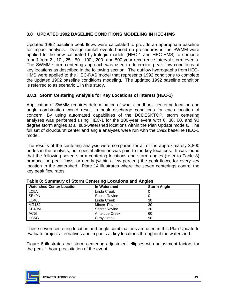### **3.8 UPDATED 1992 BASELINE CONDITIONS MODELING IN HEC-HMS**

 Updated 1992 baseline peak flows were calculated to provide an appropriate baseline for impact analysis. Design rainfall events based on procedures in the SWMM were runoff from 2-, 10-, 25-, 50-, 100-, 200- and 500-year recurrence interval storm events. The SWMM storm centering approach was used to determine peak flow conditions at key locations as described in the following section. The outflow hydrographs from HEC- HMS were applied to the HEC-RAS model that represents 1992 conditions to complete the updated 1992 baseline conditions modeling. The updated 1992 baseline condition is referred to as scenario 1 in this study. applied to the new calibrated hydrologic models (HEC-1 and HEC-HMS) to compute

#### **3.8.1 Storm Centering Analysis for Key Locations of Interest (HEC-1)**

 Application of SWMM requires determination of what cloudburst centering location and angle combination would result in peak discharge conditions for each location of concern. By using automated capabilities of the DCDESKTOP, storm centering analyses was performed using HEC-1 for the 100-year event with 0, 30, 60, and 90 degree storm angles at all sub-watershed locations within the Plan Update models. The full set of cloudburst center and angle analyses were run with the 1992 baseline HEC-1 model

model.<br>The results of the centering analysis were compared for all of the approximately 3,800 nodes in the analysis, but special attention was paid to the key locations. It was found that the following seven storm centering locations and storm angles (refer to Table 8) produce the peak flows, or nearly (within a few percent) the peak flows, for every key location in the watershed. Plate 14 illustrates where the seven centerings control the key peak flow rates.

| <b>Watershed Center Location</b> | In Watershed         | <b>Storm Angle</b> |
|----------------------------------|----------------------|--------------------|
| LC5A                             | Linda Creek          |                    |
| SE40N                            | <b>Secret Ravine</b> |                    |
| LC40L                            | Linda Creek          | 30                 |
| <b>MR15J</b>                     | Miners Ravine        | 30                 |
| SE40M                            | <b>Secret Ravine</b> | 30                 |
| AC5I                             | Antelope Creek       | 60                 |
| CC5G                             | <b>Cirby Creek</b>   | 90                 |

| Table 8: Summary of Storm Centering Locations and Angles |  |
|----------------------------------------------------------|--|
|----------------------------------------------------------|--|

 These seven centering location and angle combinations are used in this Plan Update to evaluate project alternatives and impacts at key locations throughout the watershed.

 Figure 6 illustrates the storm centering adjustment ellipses with adjustment factors for the peak 1-hour precipitation of the event.

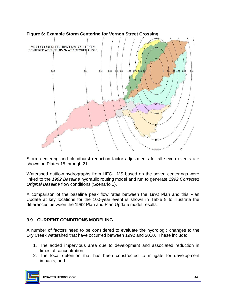

 **Figure 6: Example Storm Centering for Vernon Street Crossing** 

 Storm centering and cloudburst reduction factor adjustments for all seven events are shown on Plates 15 through 21.

 Watershed outflow hydrographs from HEC-HMS based on the seven centerings were linked to the *1992 Baseline* hydraulic routing model and run to generate *1992 Corrected Original Baseline* flow conditions (Scenario 1).

 A comparison of the baseline peak flow rates between the 1992 Plan and this Plan Update at key locations for the 100-year event is shown in Table 9 to illustrate the differences between the 1992 Plan and Plan Update model results.

## **3.9 CURRENT CONDITIONS MODELING**

 A number of factors need to be considered to evaluate the hydrologic changes to the Dry Creek watershed that have occurred between 1992 and 2010. These include:

- 1. The added impervious area due to development and associated reduction in times of concentration,
- 2. The local detention that has been constructed to mitigate for development impacts, and

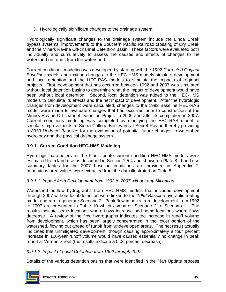3. Hydrologically significant changes to the drainage system.

 Hydrologically significant changes to the drainage system include the Linda Creek bypass systems, improvements to the Southern Pacific Railroad crossing of Dry Creek and the Miners Ravine Off-channel Detention Basin. These factors were evaluated both individually and cumulatively to assess the causes and effects of changes to the watershed on runoff from the watershed.

 Current conditions modeling was developed by starting with the *1992 Corrected Original Baseline* models and making changes to the HEC-HMS models simulate development and local detention and the HEC-RAS models to simulate the impacts of regional projects. First, development that has occurred between 1992 and 2007 was simulated without local detention basins to determine what the impact of development would have models to calculate its effects and the net impact of development. After the hydrologic changes from development were calculated, changes to the 1992 Baseline HEC-RAS model were made to evaluate changes that had occurred prior to construction of the Miners Ravine Off-channel Detention Project in 2006 and after its completion in 2007. Current conditions modeling was completed by modifying the HEC-RAS model to simulate improvements to Sierra College Boulevard at Secret Ravine thereby providing been without local detention. Second, local detention was added to the HEC-HMS a *2010 Updated Baseline* for the evaluation of potential future changes to watershed hydrology and the physical drainage system.

### **3.9.1 Current Condition HEC-HMS Modeling**

 Hydrologic parameters for the Plan Update current condition HEC-HMS models were estimated from land use as described in Section 1.5.4 and shown on Plate 8. Land use summary tables for the 2007 baseline conditions are provided in Appendix F. Impervious area values were extracted from the data illustrated on Plate 5.

### *3.9.1.1 Impact from Development from 1992 to 2007 without any Mitigation*

 Watershed outflow hydrographs from HEC-HMS models that included development through 2007 without local detention were linked to the *1992 Baseline* hydraulic routing model and run to generate Scenario 2. Peak flow impacts from development from 1992 to 2007 are presented in Table 10 which compares Scenario 2 to Scenario 1. The decrease. A review of the flow hydrographs indicates the increase in runoff volume indicates that unmitigated development, though causing approximately a four percent increase in 100-year runoff volume would have caused essentially no change in peak runoff at Vernon Street (the results indicate a 0.06 percent decrease). results indicate some locations where flows increase and some locations where flows from development, which has been largely concentrated in the lower portion of the watershed, flowing out ahead of runoff from undeveloped areas. The net result actually

### *3.9.1.2 Impact of Local Detention from 1992 through 2007*

Details of the various detention basins that were identified in the Plan Update process

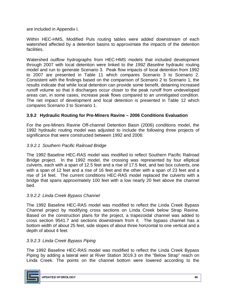are included in Appendix I.

 Within HEC-HMS, Modified Puls routing tables were added downstream of each watershed affected by a detention basins to approximate the impacts of the detention facilities.

 Watershed outflow hydrographs from HEC-HMS models that included development through 2007 with local detention were linked to the *1992 Baseline* hydraulic routing model and run to generate Scenario 3. Peak flow impacts of local detention from 1992 to 2007 are presented in Table 11 which compares Scenario 3 to Scenario 2. Consistent with the findings based on the comparison of Scenario 2 to Scenario 1, the results indicate that while local detention can provide some benefit, detaining increased runoff volume so that it discharges occur closer to the peak runoff from undeveloped areas can, in some cases, increase peak flows compared to an unmitigated condition. The net impact of development and local detention is presented in Table 12 which compares Scenario 3 to Scenario 1.

#### **3.9.2 Hydraulic Routing for Pre-Miners Ravine – 2006 Conditions Evaluation**

 For the pre-Miners Ravine Off-channel Detention Basin (2006) conditions model, the 1992 hydraulic routing model was adjusted to include the following three projects of significance that were constructed between 1992 and 2006:

### *3.9.2.1 Southern Pacific Railroad Bridge*

 The 1992 Baseline HEC-RAS model was modified to reflect Southern Pacific Railroad Bridge project. In the 1992 model, the crossing was represented by four elliptical with a span of 12 feet and a rise of 16 feet and the other with a span of 23 feet and a rise of 14 feet. The current conditions HEC-RAS model replaced the culverts with a culverts, each with a span of 12.5 feet and a rise of 17.5 feet, and two box culverts, one bridge that spans approximately 100 feet with a low nearly 20 feet above the channel bed.

#### *3.9.2.2 Linda Creek Bypass Channel*

 The 1992 Baseline HEC-RAS model was modified to reflect the Linda Creek Bypass Channel project by modifying cross sections on Linda Creek below Strap Ravine. Based on the construction plans for the project, a trapezoidal channel was added to cross section 9541.7 and sections downstream from it. The bypass channel has a bottom width of about 25 feet, side slopes of about three horizontal to one vertical and a depth of about 4 feet.

#### *3.9.2.3 Linda Creek Bypass Piping*

 The 1992 Baseline HEC-RAS model was modified to reflect the Linda Creek Bypass Piping by adding a lateral weir at River Station 3019.3 on the "Below Strap" reach on Linda Creek. The points on the channel bottom were lowered according to the

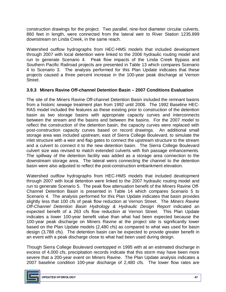construction drawings for the project. Two parallel, nine-foot diameter circular culverts, 860 feet in length, were connected from the lateral weir to River Station 1235.899 downstream on Linda Creek, in the same reach.

 Watershed outflow hydrographs from HEC-HMS models that included development through 2007 with local detention were linked to the 2006 hydraulic routing model and run to generate Scenario 4. Peak flow impacts of the Linda Creek Bypass and Southern Pacific Railroad projects are presented in Table 13 which compares Scenario 4 to Scenario 3. The analysis performed for this Plan Update indicates that these projects caused a three percent increase in the 100-year peak discharge at Vernon Street.

### **3.9.3 Miners Ravine Off-channel Detention Basin – 2007 Conditions Evaluation**

 The site of the Miners Ravine Off-channel Detention Basin included the remnant basins from a historic sewage treatment plan from 1992 until 2006. The 1992 Baseline HEC- RAS model included the features as these existing prior to construction of the detention basin as two storage basins with appropriate capacity curves and interconnects between the stream and the basins and between the basins. For the 2007 model to reflect the construction of the detention basin, the capacity curves were replaced with post-construction capacity curves based on record drawings. An additional small storage area was included upstream, east of Sierra College Boulevard, to simulate the inlet structure with a weir and flap gates to connect the upstream structure to the stream and a culvert to connect it to the new detention basin. The Sierra College Boulevard culvert size was revised to match extended culverts with fish passage enhancements. The spillway of the detention facility was added as a storage area connection to the downstream storage area. The lateral weirs connecting the channel to the detention basin were also adjusted to reflect the post-construction embankment elevation.

 Watershed outflow hydrographs from HEC-HMS models that included development through 2007 with local detention were linked to the 2007 hydraulic routing model and run to generate Scenario 5. The peak flow attenuation benefit of the Miners Ravine Off- Channel Detention Basin is presented in Table 14 which compares Scenario 5 to Scenario 4. The analysis performed for this Plan Update indicates that basin provides slightly less that 100 cfs of peak flow reduction at Vernon Street. The *Miners Ravine*  Off-Channel Detention Basin Hydrology & Hydraulic Design Report indicated an expected benefit of a 263 cfs flow reduction at Vernon Street. This Plan Update indicates a lower 100-year benefit value than what had been expected because the 100-year peak discharge on Miners Ravine at the project site is significantly lower based on the Plan Update models (2,480 cfs) as compared to what was used for basin design (3,788 cfs). The detention basin can be expected to provide greater benefit in an event with a peak discharge close to what had been used during design.

 Though Sierra College Boulevard overtopped in 1995 with at an estimated discharge in excess of 4,000 cfs, precipitation records indicate that this storm may have been more severe that a 200-year event on Miners Ravine. The Plan Update analysis indicates a 2007 baseline condition 100-year discharge of 2,480 cfs. The lower flow rates are

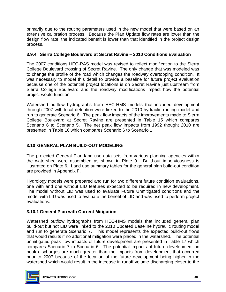primarily due to the routing parameters used in the new model that were based on an extensive calibration process. Because the Plan Update flow rates are lower than the design flow rate, the indicated benefit is lower than that identified in the project design process.

### **3.9.4 Sierra College Boulevard at Secret Ravine – 2010 Conditions Evaluation**

 The 2007 conditions HEC-RAS model was revised to reflect modification to the Sierra College Boulevard crossing of Secret Ravine. The only change that was modeled was to change the profile of the road which changes the roadway overtopping condition. It was necessary to model this detail to provide a baseline for future project evaluation because one of the potential project locations is on Secret Ravine just upstream from Sierra College Boulevard and the roadway modifications impact how the potential project would function.

 Watershed outflow hydrographs from HEC-HMS models that included development through 2007 with local detention were linked to the 2010 hydraulic routing model and run to generate Scenario 6. The peak flow impacts of the improvements made to Sierra College Boulevard at Secret Ravine are presented in Table 15 which compares Scenario 6 to Scenario 5. The net peak flow impacts from 1992 thought 2010 are presented in Table 16 which compares Scenario 6 to Scenario 1.

## **3.10 GENERAL PLAN BUILD-OUT MODELING**

 The projected General Plan land use data sets from various planning agencies within the watershed were assembled as shown in Plate 9. Build-out imperviousness is illustrated on Plate 6. Land use summary tables for the general plan build-out condition are provided in Appendix F.

 one with and one without LID features expected to be required in new development. The model without LID was used to evaluate Future Unmitigated conditions and the model with LID was used to evaluate the benefit of LID and was used to perform project Hydrology models were prepared and run for two different future condition evaluations, evaluations.

### **3.10.1 General Plan with Current Mitigation**

 Watershed outflow hydrographs from HEC-HMS models that included general plan build-out but not LID were linked to the 2010 Updated Baseline hydraulic routing model and run to generate Scenario 7. This model represents the expected build-out flows that would results if no additional mitigation were placed in the watershed. The potential unmitigated peak flow impacts of future development are presented in Table 17 which compares Scenario 7 to Scenario 6. The potential impacts of future development on peak discharges are much greater than the impacts from development that occurred prior to 2007 because of the location of the future development being higher in the watershed which would result in the increase in runoff volume discharging closer to the

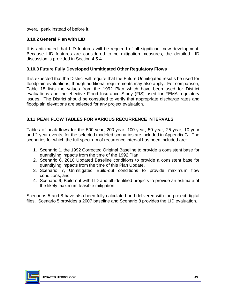overall peak instead of before it.

#### **3.10.2 General Plan with LID**

 It is anticipated that LID features will be required of all significant new development. Because LID features are considered to be mitigation measures, the detailed LID discussion is provided in Section 4.5.4.

#### **3.10.3 Future Fully Developed Unmitigated Other Regulatory Flows**

 It is expected that the District will require that the Future Unmitigated results be used for floodplain evaluations, though additional requirements may also apply. For comparison, Table 18 lists the values from the 1992 Plan which have been used for District evaluations and the effective Flood Insurance Study (FIS) used for FEMA regulatory issues. The District should be consulted to verify that appropriate discharge rates and floodplain elevations are selected for any project evaluation.

### **3.11 PEAK FLOW TABLES FOR VARIOUS RECURRENCE INTERVALS**

 Tables of peak flows for the 500-year, 200-year, 100-year, 50-year, 25-year, 10-year and 2-year events, for the selected modeled scenarios are included in Appendix G. The scenarios for which the full spectrum of recurrence interval has been included are:

- 1. Scenario 1, the 1992 Corrected Original Baseline to provide a consistent base for quantifying impacts from the time of the 1992 Plan,
- 2. Scenario 6, 2010 Updated Baseline conditions to provide a consistent base for quantifying impacts from the time of this Plan Update,
- 3. Scenario 7, Unmitigated Build-out conditions to provide maximum flow conditions, and
- 4. Scenario 9, Build-out with LID and all identified projects to provide an estimate of the likely maximum feasible mitigation.

 Scenarios 5 and 8 have also been fully calculated and delivered with the project digital files. Scenario 5 provides a 2007 baseline and Scenario 8 provides the LID evaluation.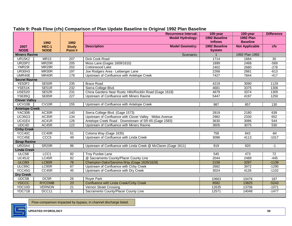|                       |                    |                  | <b>Recurrence Interval:</b>                                    | 100-year       | 100-year              | <b>Difference</b> |
|-----------------------|--------------------|------------------|----------------------------------------------------------------|----------------|-----------------------|-------------------|
|                       |                    |                  | <b>Model Hydrology:</b>                                        | 1992 Baseline  | <b>1992 Plan</b>      |                   |
|                       | 1992               | 1992             |                                                                | <b>Inflows</b> | <b>Baseline</b>       |                   |
| 2007                  | HEC-1              | <b>Study</b>     | <b>Description</b><br><b>Model Geometry:</b>                   | 1992 Baseline  | <b>Not Applicable</b> | cfs               |
| <b>NODE</b>           | <b>NODE</b>        | Point#           |                                                                | <b>System</b>  |                       |                   |
| <b>Miners Ravine</b>  |                    |                  | Scenario:                                                      |                | 1992 Plan 1992        |                   |
| <b>UR15K2</b>         | <b>MR15</b>        | $\overline{207}$ | Dick Cook Road                                                 | 1714           | 1684                  | $\overline{30}$   |
| <b>UR20P2</b>         | MR <sub>20</sub> R | $\overline{205}$ | Moss Lane (Gages 1609/1610)                                    | 1899           | 2468                  | $-569$            |
| <b>YMR29I</b>         | MR <sub>29R</sub>  | 202              | Cottonwood Lake                                                | 2402           | 2680                  | $-278$            |
| <b>UR30H3</b>         | MR30R              | 197              | Joe Rodgers Area - Leibenger Lane                              | 2268           | 2881                  | $-613$            |
| UMR40E                | MR40R              | 178              | Upstream of Confluence with Antelope Creek                     | 7427           | 7844                  | $-417$            |
| <b>Secret Ravine</b>  |                    |                  |                                                                |                |                       |                   |
| YE50F2                | SE50R              | 235              | <b>Brace Road</b>                                              | 4219           | 3090                  | 1129              |
| YSE51K                | SE51R              | 232              | Sierra College Blvd.                                           | 4681           | 3375                  | 1306              |
| <b>USE52D</b>         | SE52R              | 231              | China Gardens Near Rustic Hills/Rocklin Road (Gage 1618)       | 4679           | 3374                  | 1305              |
| <b>YSE85Q</b>         | SE85R              | 227              | Upstream of Confluence with Miners Ravine                      | 5447           | 4197                  | 1250              |
| <b>Clover Valley</b>  |                    |                  |                                                                |                |                       |                   |
| UCV10B                | CV10R              | 155              | Upstream of Confluence with Antelope Creek                     | 987            | 857                   | 130               |
| <b>Antelope Creek</b> |                    |                  |                                                                |                |                       |                   |
| YAC30B                | AC30R              | 140              | Sierra College Blvd. (Gage 1573)                               | 2819           | 2180                  | 639               |
| <b>UC35G3</b>         | AC35R              | 134              | Upstream of Confluence with Clover Valley - Midas Avenue       | 2982           | 2330                  | 652               |
| <b>UC41E4</b>         | AC41R              | 126              | Antelope Creek Road - Downstream of SR-65 (Gage 1583)          | 3630           | 3086                  | 544               |
| UDC4D                 | AC45R              | 122              | Upstream of Confluence with Miners Ravine                      | 3605           | 3075                  | 530               |
| <b>Cirby Creek</b>    |                    |                  |                                                                |                |                       |                   |
| YCC40C                | CC40R              | 51               | Coloma Way (Gage 1635)                                         | 758            | 842                   | $-84$             |
| YCC45E                | CCC <sub>5</sub>   | 49               | Upstream of Confluence with Linda Creek                        | 3096           | 4113                  | $-1017$           |
| <b>Strap Ravine</b>   |                    |                  |                                                                |                |                       |                   |
| <b>UR20A4</b>         | SR <sub>20R</sub>  | 96               | Upstream of Confluence with Linda Creek @ McClaren (Gage 1611) | 919            | 920                   | $-1$              |
| <b>Linda Creek</b>    |                    |                  |                                                                |                |                       |                   |
| ULC5B                 | LCC <sub>1</sub>   | 92               | <b>Troy Purdee Lane</b>                                        | 545            | 473                   | $\overline{72}$   |
| <b>UC45J2</b>         | LC45R              | 82               | @ Sacramento County/Placer County Line                         | 2044           | 2489                  | $-445$            |
| <b>ULC801</b>         | LC80R              | 76               | Champion Oaks/Sanoma Way (Gage 1626/1628)                      | 2158           | 3297                  | $-1139$           |
| ULC95C                | LC95R              | 67               | Upstream of Confluence with Cirby Creek                        | 2682           | 3972                  | $-1290$           |
| YCC45G                | CC45R              | 45               | Upstream of Confluence with Dry Creek                          | 3024           | 4126                  | $-1102$           |
| <b>Dry Creek</b>      |                    |                  |                                                                |                |                       |                   |
| UDC5B                 | DC <sub>5R</sub>   | 26               | Royer Park                                                     | 10663          | 10476                 | 187               |
| <b>YDCCC</b>          | <b>RYCOMB</b>      | $\overline{23}$  | Confluence with Linda Creek/Cirby Creek                        | 8582           | 13825                 | $-5243$           |
| YDC10D                | <b>VERNON</b>      | $\overline{21}$  | Vernon Street Crossing                                         | 12635          | 13706                 | $-1071$           |
| YDC71B                | DCC11              | $\overline{9}$   | Sacramento County/Placer County Line                           | 12571          | 14048                 | $-1477$           |

#### **Table 9: Peak Flow (cfs) Comparison of Plan Update Baseline to Original 1992 Plan Baseline**

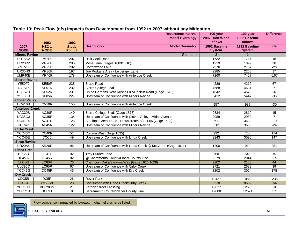|                       |                      |                        | <b>Recurrence Interval:</b>                                    | 100-year                       | 100-year                       | <b>Difference</b> |
|-----------------------|----------------------|------------------------|----------------------------------------------------------------|--------------------------------|--------------------------------|-------------------|
|                       |                      |                        | <b>Model Hydrology:</b>                                        | 2007 Undetained                | 1992 Baseline                  |                   |
|                       | 1992                 | 1992                   |                                                                | <b>Inflows</b>                 | <b>Inflows</b>                 |                   |
| 2007<br><b>NODE</b>   | HEC-1<br><b>NODE</b> | <b>Study</b><br>Point# | <b>Description</b><br><b>Model Geometry:</b>                   | 1992 Baseline<br><b>System</b> | 1992 Baseline<br><b>System</b> | cfs               |
| <b>Miners Ravine</b>  |                      |                        | Scenario:                                                      | 2                              | $\mathbf 1$                    |                   |
| <b>UR15K2</b>         | <b>MR15</b>          | 207                    | Dick Cook Road                                                 | 1732                           | 1714                           | $\overline{18}$   |
| <b>UR20P2</b>         | MR <sub>20</sub> R   | $\overline{205}$       | Moss Lane (Gages 1609/1610)                                    | 1919                           | 1899                           | $\overline{20}$   |
| <b>YMR29I</b>         | MR <sub>29</sub> R   | $\overline{202}$       | Cottonwood Lake                                                | 2376                           | 2402                           | $-26$             |
| <b>UR30H3</b>         | MR30R                | 197                    | Joe Rodgers Area - Leibenger Lane                              | 2285                           | 2268                           | 17                |
| UMR40E                | MR40R                | 178                    | Upstream of Confluence with Antelope Creek                     | 7260                           | 7427                           | $-167$            |
| <b>Secret Ravine</b>  |                      |                        |                                                                |                                |                                |                   |
| <b>YE50F2</b>         | SE50R                | 235                    | <b>Brace Road</b>                                              | 4286                           | 4219                           | 67                |
| YSE51K                | SE51R                | 232                    | Sierra College Blvd.                                           | 4688                           | 4681                           | $\overline{7}$    |
| USE <sub>52D</sub>    | SE52R                | 231                    | China Gardens Near Rustic Hills/Rocklin Road (Gage 1618)       | 4642                           | 4679                           | $-37$             |
| <b>YSE85Q</b>         | SE85R                | 227                    | Upstream of Confluence with Miners Ravine                      | 5412                           | 5447                           | $-35$             |
| <b>Clover Valley</b>  |                      |                        |                                                                |                                |                                |                   |
| UCV10B                | CV10R                | 155                    | Upstream of Confluence with Antelope Creek                     | 957                            | 987                            | $-30$             |
| <b>Antelope Creek</b> |                      |                        |                                                                |                                |                                |                   |
| YAC30B                | AC30R                | 140                    | Sierra College Blvd. (Gage 1573)                               | 2834                           | 2819                           | 15                |
| <b>UC35G3</b>         | AC35R                | 134                    | Upstream of Confluence with Clover Valley - Midas Avenue       | 2989                           | 2982                           | $\overline{7}$    |
| <b>UC41E4</b>         | AC41R                | 126                    | Antelope Creek Road - Downstream of SR-65 (Gage 1583)          | 3611                           | 3630                           | $-19$             |
| UDC4D                 | AC45R                | 122                    | Upstream of Confluence with Miners Ravine                      | 3581                           | 3605                           | $-24$             |
| <b>Cirby Creek</b>    |                      |                        |                                                                |                                |                                |                   |
| YCC40C                | CC40R                | 51                     | Coloma Way (Gage 1635)                                         | 932                            | 758                            | 174               |
| YCC45E                | CCC <sub>5</sub>     | 49                     | Upstream of Confluence with Linda Creek                        | 3243                           | 3096                           | 147               |
| <b>Strap Ravine</b>   |                      |                        |                                                                |                                |                                |                   |
| <b>UR20A4</b>         | SR <sub>20R</sub>    | 96                     | Upstream of Confluence with Linda Creek @ McClaren (Gage 1611) | 1200                           | 919                            | 281               |
| <b>Linda Creek</b>    |                      |                        |                                                                |                                |                                |                   |
| ULC5B                 | LCC1                 | $\overline{92}$        | <b>Troy Purdee Lane</b>                                        | 560                            | 545                            | 15                |
| <b>UC45J2</b>         | LC45R                | 82                     | @ Sacramento County/Placer County Line                         | 2279                           | 2044                           | 235               |
| <b>ULC801</b>         | LC80R                | 76                     | Champion Oaks/Sanoma Way (Gage 1626/1628)                      | 2202                           | 2158                           | 44                |
| ULC95C                | LC95R                | 67                     | Upstream of Confluence with Cirby Creek                        | 2721                           | 2682                           | 39                |
| YCC45G                | CC45R                | 45                     | Upstream of Confluence with Dry Creek                          | 3202                           | 3024                           | 178               |
| <b>Dry Creek</b>      |                      |                        |                                                                |                                |                                |                   |
| UDC5B                 | DC5R                 | 26                     | <b>Rover Park</b>                                              | 10427                          | 10663                          | $-236$            |
| <b>YDCCC</b>          | <b>RYCOMB</b>        | 23                     | Confluence with Linda Creek/Cirby Creek                        | 8528                           | 8582                           | $-54$             |
| YDC10D                | <b>VERNON</b>        | $\overline{21}$        | Vernon Street Crossing                                         | 12627                          | 12635                          | $-8$              |
| YDC71B                | DCC11                | $\overline{9}$         | Sacramento County/Placer County Line                           | 12608                          | 12571                          | $\overline{37}$   |

#### **Table 10: Peak Flow (cfs) Impacts from Development from 1992 to 2007 without any Mitigation**

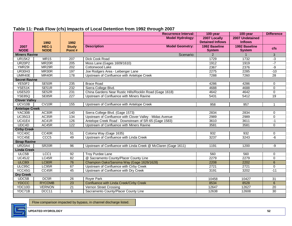| <b>Model Hydrology:</b><br>2007 Locally<br>2007 Undetained<br><b>Detained Inflows</b><br><b>Inflows</b><br>1992<br>1992<br><b>Description</b><br><b>Model Geometry:</b><br>1992 Baseline<br>HEC-1<br>1992 Baseline<br><b>Study</b><br>2007<br><b>cfs</b><br><b>NODE</b><br><b>NODE</b><br>Point#<br><b>System</b><br><b>System</b><br><b>Miners Ravine</b><br>Scenario:<br>$\overline{2}$<br>3<br><b>UR15K2</b><br><b>MR15</b><br>1729<br>1732<br>$-3$<br>207<br>Dick Cook Road<br>MR <sub>20</sub> R<br>$-7$<br><b>UR20P2</b><br>$\overline{205}$<br>Moss Lane (Gages 1609/1610)<br>1912<br>1919<br><b>YMR29I</b><br>MR29R<br>$\overline{202}$<br>Cottonwood Lake<br>2367<br>2376<br>-9<br>197<br><b>UR30H3</b><br>MR30R<br>2275<br>2285<br>$-10$<br>Joe Rodgers Area - Leibenger Lane<br>28<br>UMR40E<br>MR40R<br>178<br>7288<br>7260<br>Upstream of Confluence with Antelope Creek<br><b>Secret Ravine</b><br><b>YE50F2</b><br>SE50R<br>235<br><b>Brace Road</b><br>4286<br>4286<br>0<br>SE51R<br>232<br>YSE51K<br>Sierra College Blvd.<br>4688<br>4688<br>0<br>USE <sub>52</sub> D<br>SE52R<br>231<br>China Gardens Near Rustic Hills/Rocklin Road (Gage 1618)<br>$\Omega$<br>4642<br>4642<br><b>YSE85Q</b><br>SE85R<br>19<br>227<br>Upstream of Confluence with Miners Ravine<br>5431<br>5412<br><b>Clover Valley</b><br>UCV10B<br>CV <sub>10R</sub><br>155<br>Upstream of Confluence with Antelope Creek<br>958<br>957<br>$\mathbf{1}$<br><b>Antelope Creek</b><br>AC30R<br>Sierra College Blvd. (Gage 1573)<br>YAC30B<br>140<br>2834<br>2834<br>0<br><b>UC35G3</b><br>AC35R<br>134<br>Upstream of Confluence with Clover Valley - Midas Avenue<br>$\overline{0}$<br>2989<br>2989<br><b>UC41E4</b><br>AC41R<br>126<br>Antelope Creek Road - Downstream of SR-65 (Gage 1583)<br>3611<br>3610<br>$-1$<br>UDC4D<br>AC45R<br>122<br>$\mathbf 0$<br>Upstream of Confluence with Miners Ravine<br>3581<br>3581<br><b>Cirby Creek</b><br>YCC40C<br>CC40R<br>Coloma Way (Gage 1635)<br>51<br>932<br>932<br>$\mathbf 0$<br>Upstream of Confluence with Linda Creek<br>YCC45E<br>CCC <sub>5</sub><br>49<br>3237<br>3243<br>-6<br><b>Strap Ravine</b><br>SR <sub>20R</sub><br><b>UR20A4</b><br>Upstream of Confluence with Linda Creek @ McClaren (Gage 1611)<br>96<br>1191<br>1200<br>-9<br><b>Linda Creek</b><br>ULC5B<br>LCC <sub>1</sub><br>92<br><b>Troy Purdee Lane</b><br>560<br>560<br>$\mathbf 0$<br>LC45R<br>@ Sacramento County/Placer County Line<br><b>UC45J2</b><br>82<br>2279<br>2279<br>$\overline{0}$<br><b>ULC801</b><br>LC80R<br>Champion Oaks/Sanoma Way (Gage 1626/1628)<br>76<br>2202<br>$\overline{6}$<br>2208<br>ULC95C<br>LC95R<br>Upstream of Confluence with Cirby Creek<br>67<br>2721<br>2721<br>0<br>YCC45G<br>CC45R<br>45<br>Upstream of Confluence with Dry Creek<br>3202<br>$-11$<br>3191<br><b>Dry Creek</b><br>UDC5B<br>DC <sub>5R</sub><br>26<br>Royer Park<br>$\overline{31}$<br>10458<br>10427 |  | <b>Recurrence Interval:</b> | 100-year | 100-year | <b>Difference</b> |
|--------------------------------------------------------------------------------------------------------------------------------------------------------------------------------------------------------------------------------------------------------------------------------------------------------------------------------------------------------------------------------------------------------------------------------------------------------------------------------------------------------------------------------------------------------------------------------------------------------------------------------------------------------------------------------------------------------------------------------------------------------------------------------------------------------------------------------------------------------------------------------------------------------------------------------------------------------------------------------------------------------------------------------------------------------------------------------------------------------------------------------------------------------------------------------------------------------------------------------------------------------------------------------------------------------------------------------------------------------------------------------------------------------------------------------------------------------------------------------------------------------------------------------------------------------------------------------------------------------------------------------------------------------------------------------------------------------------------------------------------------------------------------------------------------------------------------------------------------------------------------------------------------------------------------------------------------------------------------------------------------------------------------------------------------------------------------------------------------------------------------------------------------------------------------------------------------------------------------------------------------------------------------------------------------------------------------------------------------------------------------------------------------------------------------------------------------------------------------------------------------------------------------------------------------------------------------------------------------------------------------------------------------------------------------------------------------------------------------------------------------------------------------------------------------------------------------------------------------------------------------------------------------------------------------------|--|-----------------------------|----------|----------|-------------------|
|                                                                                                                                                                                                                                                                                                                                                                                                                                                                                                                                                                                                                                                                                                                                                                                                                                                                                                                                                                                                                                                                                                                                                                                                                                                                                                                                                                                                                                                                                                                                                                                                                                                                                                                                                                                                                                                                                                                                                                                                                                                                                                                                                                                                                                                                                                                                                                                                                                                                                                                                                                                                                                                                                                                                                                                                                                                                                                                                |  |                             |          |          |                   |
|                                                                                                                                                                                                                                                                                                                                                                                                                                                                                                                                                                                                                                                                                                                                                                                                                                                                                                                                                                                                                                                                                                                                                                                                                                                                                                                                                                                                                                                                                                                                                                                                                                                                                                                                                                                                                                                                                                                                                                                                                                                                                                                                                                                                                                                                                                                                                                                                                                                                                                                                                                                                                                                                                                                                                                                                                                                                                                                                |  |                             |          |          |                   |
|                                                                                                                                                                                                                                                                                                                                                                                                                                                                                                                                                                                                                                                                                                                                                                                                                                                                                                                                                                                                                                                                                                                                                                                                                                                                                                                                                                                                                                                                                                                                                                                                                                                                                                                                                                                                                                                                                                                                                                                                                                                                                                                                                                                                                                                                                                                                                                                                                                                                                                                                                                                                                                                                                                                                                                                                                                                                                                                                |  |                             |          |          |                   |
|                                                                                                                                                                                                                                                                                                                                                                                                                                                                                                                                                                                                                                                                                                                                                                                                                                                                                                                                                                                                                                                                                                                                                                                                                                                                                                                                                                                                                                                                                                                                                                                                                                                                                                                                                                                                                                                                                                                                                                                                                                                                                                                                                                                                                                                                                                                                                                                                                                                                                                                                                                                                                                                                                                                                                                                                                                                                                                                                |  |                             |          |          |                   |
|                                                                                                                                                                                                                                                                                                                                                                                                                                                                                                                                                                                                                                                                                                                                                                                                                                                                                                                                                                                                                                                                                                                                                                                                                                                                                                                                                                                                                                                                                                                                                                                                                                                                                                                                                                                                                                                                                                                                                                                                                                                                                                                                                                                                                                                                                                                                                                                                                                                                                                                                                                                                                                                                                                                                                                                                                                                                                                                                |  |                             |          |          |                   |
|                                                                                                                                                                                                                                                                                                                                                                                                                                                                                                                                                                                                                                                                                                                                                                                                                                                                                                                                                                                                                                                                                                                                                                                                                                                                                                                                                                                                                                                                                                                                                                                                                                                                                                                                                                                                                                                                                                                                                                                                                                                                                                                                                                                                                                                                                                                                                                                                                                                                                                                                                                                                                                                                                                                                                                                                                                                                                                                                |  |                             |          |          |                   |
|                                                                                                                                                                                                                                                                                                                                                                                                                                                                                                                                                                                                                                                                                                                                                                                                                                                                                                                                                                                                                                                                                                                                                                                                                                                                                                                                                                                                                                                                                                                                                                                                                                                                                                                                                                                                                                                                                                                                                                                                                                                                                                                                                                                                                                                                                                                                                                                                                                                                                                                                                                                                                                                                                                                                                                                                                                                                                                                                |  |                             |          |          |                   |
|                                                                                                                                                                                                                                                                                                                                                                                                                                                                                                                                                                                                                                                                                                                                                                                                                                                                                                                                                                                                                                                                                                                                                                                                                                                                                                                                                                                                                                                                                                                                                                                                                                                                                                                                                                                                                                                                                                                                                                                                                                                                                                                                                                                                                                                                                                                                                                                                                                                                                                                                                                                                                                                                                                                                                                                                                                                                                                                                |  |                             |          |          |                   |
|                                                                                                                                                                                                                                                                                                                                                                                                                                                                                                                                                                                                                                                                                                                                                                                                                                                                                                                                                                                                                                                                                                                                                                                                                                                                                                                                                                                                                                                                                                                                                                                                                                                                                                                                                                                                                                                                                                                                                                                                                                                                                                                                                                                                                                                                                                                                                                                                                                                                                                                                                                                                                                                                                                                                                                                                                                                                                                                                |  |                             |          |          |                   |
|                                                                                                                                                                                                                                                                                                                                                                                                                                                                                                                                                                                                                                                                                                                                                                                                                                                                                                                                                                                                                                                                                                                                                                                                                                                                                                                                                                                                                                                                                                                                                                                                                                                                                                                                                                                                                                                                                                                                                                                                                                                                                                                                                                                                                                                                                                                                                                                                                                                                                                                                                                                                                                                                                                                                                                                                                                                                                                                                |  |                             |          |          |                   |
|                                                                                                                                                                                                                                                                                                                                                                                                                                                                                                                                                                                                                                                                                                                                                                                                                                                                                                                                                                                                                                                                                                                                                                                                                                                                                                                                                                                                                                                                                                                                                                                                                                                                                                                                                                                                                                                                                                                                                                                                                                                                                                                                                                                                                                                                                                                                                                                                                                                                                                                                                                                                                                                                                                                                                                                                                                                                                                                                |  |                             |          |          |                   |
|                                                                                                                                                                                                                                                                                                                                                                                                                                                                                                                                                                                                                                                                                                                                                                                                                                                                                                                                                                                                                                                                                                                                                                                                                                                                                                                                                                                                                                                                                                                                                                                                                                                                                                                                                                                                                                                                                                                                                                                                                                                                                                                                                                                                                                                                                                                                                                                                                                                                                                                                                                                                                                                                                                                                                                                                                                                                                                                                |  |                             |          |          |                   |
|                                                                                                                                                                                                                                                                                                                                                                                                                                                                                                                                                                                                                                                                                                                                                                                                                                                                                                                                                                                                                                                                                                                                                                                                                                                                                                                                                                                                                                                                                                                                                                                                                                                                                                                                                                                                                                                                                                                                                                                                                                                                                                                                                                                                                                                                                                                                                                                                                                                                                                                                                                                                                                                                                                                                                                                                                                                                                                                                |  |                             |          |          |                   |
|                                                                                                                                                                                                                                                                                                                                                                                                                                                                                                                                                                                                                                                                                                                                                                                                                                                                                                                                                                                                                                                                                                                                                                                                                                                                                                                                                                                                                                                                                                                                                                                                                                                                                                                                                                                                                                                                                                                                                                                                                                                                                                                                                                                                                                                                                                                                                                                                                                                                                                                                                                                                                                                                                                                                                                                                                                                                                                                                |  |                             |          |          |                   |
|                                                                                                                                                                                                                                                                                                                                                                                                                                                                                                                                                                                                                                                                                                                                                                                                                                                                                                                                                                                                                                                                                                                                                                                                                                                                                                                                                                                                                                                                                                                                                                                                                                                                                                                                                                                                                                                                                                                                                                                                                                                                                                                                                                                                                                                                                                                                                                                                                                                                                                                                                                                                                                                                                                                                                                                                                                                                                                                                |  |                             |          |          |                   |
|                                                                                                                                                                                                                                                                                                                                                                                                                                                                                                                                                                                                                                                                                                                                                                                                                                                                                                                                                                                                                                                                                                                                                                                                                                                                                                                                                                                                                                                                                                                                                                                                                                                                                                                                                                                                                                                                                                                                                                                                                                                                                                                                                                                                                                                                                                                                                                                                                                                                                                                                                                                                                                                                                                                                                                                                                                                                                                                                |  |                             |          |          |                   |
|                                                                                                                                                                                                                                                                                                                                                                                                                                                                                                                                                                                                                                                                                                                                                                                                                                                                                                                                                                                                                                                                                                                                                                                                                                                                                                                                                                                                                                                                                                                                                                                                                                                                                                                                                                                                                                                                                                                                                                                                                                                                                                                                                                                                                                                                                                                                                                                                                                                                                                                                                                                                                                                                                                                                                                                                                                                                                                                                |  |                             |          |          |                   |
|                                                                                                                                                                                                                                                                                                                                                                                                                                                                                                                                                                                                                                                                                                                                                                                                                                                                                                                                                                                                                                                                                                                                                                                                                                                                                                                                                                                                                                                                                                                                                                                                                                                                                                                                                                                                                                                                                                                                                                                                                                                                                                                                                                                                                                                                                                                                                                                                                                                                                                                                                                                                                                                                                                                                                                                                                                                                                                                                |  |                             |          |          |                   |
|                                                                                                                                                                                                                                                                                                                                                                                                                                                                                                                                                                                                                                                                                                                                                                                                                                                                                                                                                                                                                                                                                                                                                                                                                                                                                                                                                                                                                                                                                                                                                                                                                                                                                                                                                                                                                                                                                                                                                                                                                                                                                                                                                                                                                                                                                                                                                                                                                                                                                                                                                                                                                                                                                                                                                                                                                                                                                                                                |  |                             |          |          |                   |
|                                                                                                                                                                                                                                                                                                                                                                                                                                                                                                                                                                                                                                                                                                                                                                                                                                                                                                                                                                                                                                                                                                                                                                                                                                                                                                                                                                                                                                                                                                                                                                                                                                                                                                                                                                                                                                                                                                                                                                                                                                                                                                                                                                                                                                                                                                                                                                                                                                                                                                                                                                                                                                                                                                                                                                                                                                                                                                                                |  |                             |          |          |                   |
|                                                                                                                                                                                                                                                                                                                                                                                                                                                                                                                                                                                                                                                                                                                                                                                                                                                                                                                                                                                                                                                                                                                                                                                                                                                                                                                                                                                                                                                                                                                                                                                                                                                                                                                                                                                                                                                                                                                                                                                                                                                                                                                                                                                                                                                                                                                                                                                                                                                                                                                                                                                                                                                                                                                                                                                                                                                                                                                                |  |                             |          |          |                   |
|                                                                                                                                                                                                                                                                                                                                                                                                                                                                                                                                                                                                                                                                                                                                                                                                                                                                                                                                                                                                                                                                                                                                                                                                                                                                                                                                                                                                                                                                                                                                                                                                                                                                                                                                                                                                                                                                                                                                                                                                                                                                                                                                                                                                                                                                                                                                                                                                                                                                                                                                                                                                                                                                                                                                                                                                                                                                                                                                |  |                             |          |          |                   |
|                                                                                                                                                                                                                                                                                                                                                                                                                                                                                                                                                                                                                                                                                                                                                                                                                                                                                                                                                                                                                                                                                                                                                                                                                                                                                                                                                                                                                                                                                                                                                                                                                                                                                                                                                                                                                                                                                                                                                                                                                                                                                                                                                                                                                                                                                                                                                                                                                                                                                                                                                                                                                                                                                                                                                                                                                                                                                                                                |  |                             |          |          |                   |
|                                                                                                                                                                                                                                                                                                                                                                                                                                                                                                                                                                                                                                                                                                                                                                                                                                                                                                                                                                                                                                                                                                                                                                                                                                                                                                                                                                                                                                                                                                                                                                                                                                                                                                                                                                                                                                                                                                                                                                                                                                                                                                                                                                                                                                                                                                                                                                                                                                                                                                                                                                                                                                                                                                                                                                                                                                                                                                                                |  |                             |          |          |                   |
|                                                                                                                                                                                                                                                                                                                                                                                                                                                                                                                                                                                                                                                                                                                                                                                                                                                                                                                                                                                                                                                                                                                                                                                                                                                                                                                                                                                                                                                                                                                                                                                                                                                                                                                                                                                                                                                                                                                                                                                                                                                                                                                                                                                                                                                                                                                                                                                                                                                                                                                                                                                                                                                                                                                                                                                                                                                                                                                                |  |                             |          |          |                   |
|                                                                                                                                                                                                                                                                                                                                                                                                                                                                                                                                                                                                                                                                                                                                                                                                                                                                                                                                                                                                                                                                                                                                                                                                                                                                                                                                                                                                                                                                                                                                                                                                                                                                                                                                                                                                                                                                                                                                                                                                                                                                                                                                                                                                                                                                                                                                                                                                                                                                                                                                                                                                                                                                                                                                                                                                                                                                                                                                |  |                             |          |          |                   |
|                                                                                                                                                                                                                                                                                                                                                                                                                                                                                                                                                                                                                                                                                                                                                                                                                                                                                                                                                                                                                                                                                                                                                                                                                                                                                                                                                                                                                                                                                                                                                                                                                                                                                                                                                                                                                                                                                                                                                                                                                                                                                                                                                                                                                                                                                                                                                                                                                                                                                                                                                                                                                                                                                                                                                                                                                                                                                                                                |  |                             |          |          |                   |
|                                                                                                                                                                                                                                                                                                                                                                                                                                                                                                                                                                                                                                                                                                                                                                                                                                                                                                                                                                                                                                                                                                                                                                                                                                                                                                                                                                                                                                                                                                                                                                                                                                                                                                                                                                                                                                                                                                                                                                                                                                                                                                                                                                                                                                                                                                                                                                                                                                                                                                                                                                                                                                                                                                                                                                                                                                                                                                                                |  |                             |          |          |                   |
|                                                                                                                                                                                                                                                                                                                                                                                                                                                                                                                                                                                                                                                                                                                                                                                                                                                                                                                                                                                                                                                                                                                                                                                                                                                                                                                                                                                                                                                                                                                                                                                                                                                                                                                                                                                                                                                                                                                                                                                                                                                                                                                                                                                                                                                                                                                                                                                                                                                                                                                                                                                                                                                                                                                                                                                                                                                                                                                                |  |                             |          |          |                   |
|                                                                                                                                                                                                                                                                                                                                                                                                                                                                                                                                                                                                                                                                                                                                                                                                                                                                                                                                                                                                                                                                                                                                                                                                                                                                                                                                                                                                                                                                                                                                                                                                                                                                                                                                                                                                                                                                                                                                                                                                                                                                                                                                                                                                                                                                                                                                                                                                                                                                                                                                                                                                                                                                                                                                                                                                                                                                                                                                |  |                             |          |          |                   |
|                                                                                                                                                                                                                                                                                                                                                                                                                                                                                                                                                                                                                                                                                                                                                                                                                                                                                                                                                                                                                                                                                                                                                                                                                                                                                                                                                                                                                                                                                                                                                                                                                                                                                                                                                                                                                                                                                                                                                                                                                                                                                                                                                                                                                                                                                                                                                                                                                                                                                                                                                                                                                                                                                                                                                                                                                                                                                                                                |  |                             |          |          |                   |
|                                                                                                                                                                                                                                                                                                                                                                                                                                                                                                                                                                                                                                                                                                                                                                                                                                                                                                                                                                                                                                                                                                                                                                                                                                                                                                                                                                                                                                                                                                                                                                                                                                                                                                                                                                                                                                                                                                                                                                                                                                                                                                                                                                                                                                                                                                                                                                                                                                                                                                                                                                                                                                                                                                                                                                                                                                                                                                                                |  |                             |          |          |                   |
|                                                                                                                                                                                                                                                                                                                                                                                                                                                                                                                                                                                                                                                                                                                                                                                                                                                                                                                                                                                                                                                                                                                                                                                                                                                                                                                                                                                                                                                                                                                                                                                                                                                                                                                                                                                                                                                                                                                                                                                                                                                                                                                                                                                                                                                                                                                                                                                                                                                                                                                                                                                                                                                                                                                                                                                                                                                                                                                                |  |                             |          |          |                   |
|                                                                                                                                                                                                                                                                                                                                                                                                                                                                                                                                                                                                                                                                                                                                                                                                                                                                                                                                                                                                                                                                                                                                                                                                                                                                                                                                                                                                                                                                                                                                                                                                                                                                                                                                                                                                                                                                                                                                                                                                                                                                                                                                                                                                                                                                                                                                                                                                                                                                                                                                                                                                                                                                                                                                                                                                                                                                                                                                |  |                             |          |          |                   |
| <b>RYCOMB</b><br><b>YDCCC</b><br>Confluence with Linda Creek/Cirby Creek<br>8528<br>$\overline{6}$<br>23<br>8534                                                                                                                                                                                                                                                                                                                                                                                                                                                                                                                                                                                                                                                                                                                                                                                                                                                                                                                                                                                                                                                                                                                                                                                                                                                                                                                                                                                                                                                                                                                                                                                                                                                                                                                                                                                                                                                                                                                                                                                                                                                                                                                                                                                                                                                                                                                                                                                                                                                                                                                                                                                                                                                                                                                                                                                                               |  |                             |          |          |                   |
| YDC10D<br><b>VERNON</b><br>$\overline{21}$<br>Vernon Street Crossing<br>12627<br>$\overline{20}$<br>12647                                                                                                                                                                                                                                                                                                                                                                                                                                                                                                                                                                                                                                                                                                                                                                                                                                                                                                                                                                                                                                                                                                                                                                                                                                                                                                                                                                                                                                                                                                                                                                                                                                                                                                                                                                                                                                                                                                                                                                                                                                                                                                                                                                                                                                                                                                                                                                                                                                                                                                                                                                                                                                                                                                                                                                                                                      |  |                             |          |          |                   |
| YDC71B<br>DCC11<br>$\overline{9}$<br>Sacramento County/Placer County Line<br>12638<br>12608<br>30                                                                                                                                                                                                                                                                                                                                                                                                                                                                                                                                                                                                                                                                                                                                                                                                                                                                                                                                                                                                                                                                                                                                                                                                                                                                                                                                                                                                                                                                                                                                                                                                                                                                                                                                                                                                                                                                                                                                                                                                                                                                                                                                                                                                                                                                                                                                                                                                                                                                                                                                                                                                                                                                                                                                                                                                                              |  |                             |          |          |                   |

#### **Table 11: Peak Flow (cfs) Impacts of Local Detention from 1992 through 2007**

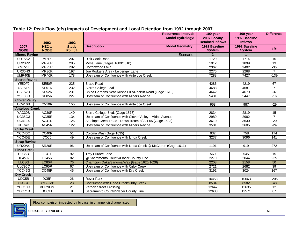|                       |                      |                        | <b>Recurrence Interval:</b>                                    | 100-year                       | 100-year                       | <b>Difference</b> |
|-----------------------|----------------------|------------------------|----------------------------------------------------------------|--------------------------------|--------------------------------|-------------------|
|                       |                      |                        | <b>Model Hydrology:</b>                                        | 2007 Locally                   | 1992 Baseline                  |                   |
|                       | 1992                 | 1992                   |                                                                | <b>Detained Inflows</b>        | <b>Inflows</b>                 |                   |
| 2007<br><b>NODE</b>   | HEC-1<br><b>NODE</b> | <b>Study</b><br>Point# | <b>Model Geometry:</b><br><b>Description</b>                   | 1992 Baseline<br><b>System</b> | 1992 Baseline<br><b>System</b> | <b>cfs</b>        |
| <b>Miners Ravine</b>  |                      |                        | Scenario:                                                      | 3                              |                                |                   |
| <b>UR15K2</b>         | <b>MR15</b>          | 207                    | Dick Cook Road                                                 | 1729                           | 1714                           | $\overline{15}$   |
| <b>UR20P2</b>         | MR <sub>20</sub> R   | $\overline{205}$       | Moss Lane (Gages 1609/1610)                                    | 1912                           | 1899                           | 13                |
| <b>YMR29I</b>         | MR29R                | $\overline{202}$       | Cottonwood Lake                                                | 2367                           | 2402                           | $-35$             |
| <b>UR30H3</b>         | MR30R                | 197                    | Joe Rodgers Area - Leibenger Lane                              | 2275                           | 2268                           | $\overline{7}$    |
| UMR40E                | MR40R                | 178                    | Upstream of Confluence with Antelope Creek                     | 7288                           | 7427                           | $-139$            |
| <b>Secret Ravine</b>  |                      |                        |                                                                |                                |                                |                   |
| <b>YE50F2</b>         | SE50R                | 235                    | <b>Brace Road</b>                                              | 4286                           | 4219                           | 67                |
| YSE51K                | SE51R                | 232                    | Sierra College Blvd.                                           | 4688                           | 4681                           | $\overline{7}$    |
| USE <sub>52D</sub>    | SE52R                | 231                    | China Gardens Near Rustic Hills/Rocklin Road (Gage 1618)       | 4642                           | 4679                           | $-37$             |
| YSE85Q                | SE85R                | 227                    | Upstream of Confluence with Miners Ravine                      | 5431                           | 5447                           | $-16$             |
| <b>Clover Valley</b>  |                      |                        |                                                                |                                |                                |                   |
| UCV10B                | CV <sub>10R</sub>    | 155                    | Upstream of Confluence with Antelope Creek                     | 958                            | 987                            | $-29$             |
| <b>Antelope Creek</b> |                      |                        |                                                                |                                |                                |                   |
| YAC30B                | AC30R                | 140                    | Sierra College Blvd. (Gage 1573)                               | 2834                           | 2819                           | 15                |
| <b>UC35G3</b>         | AC35R                | 134                    | Upstream of Confluence with Clover Valley - Midas Avenue       | 2989                           | 2982                           | $\overline{7}$    |
| <b>UC41E4</b>         | AC41R                | 126                    | Antelope Creek Road - Downstream of SR-65 (Gage 1583)          | 3610                           | 3630                           | $-20$             |
| UDC4D                 | AC45R                | 122                    | Upstream of Confluence with Miners Ravine                      | 3581                           | 3605                           | $-24$             |
| <b>Cirby Creek</b>    |                      |                        |                                                                |                                |                                |                   |
| YCC40C                | CC40R                | 51                     | Coloma Way (Gage 1635)                                         | 932                            | 758                            | 174               |
| YCC45E                | CCC <sub>5</sub>     | 49                     | Upstream of Confluence with Linda Creek                        | 3237                           | 3096                           | 141               |
| <b>Strap Ravine</b>   |                      |                        |                                                                |                                |                                |                   |
| <b>UR20A4</b>         | SR <sub>20R</sub>    | $\overline{96}$        | Upstream of Confluence with Linda Creek @ McClaren (Gage 1611) | 1191                           | 919                            | $\overline{272}$  |
| <b>Linda Creek</b>    |                      |                        |                                                                |                                |                                |                   |
| ULC5B                 | LCC <sub>1</sub>     | 92                     | <b>Troy Purdee Lane</b>                                        | 560                            | 545                            | 15                |
| <b>UC45J2</b>         | LC45R                | $\overline{82}$        | @ Sacramento County/Placer County Line                         | 2279                           | 2044                           | 235               |
| <b>ULC801</b>         | LC80R                | 76                     | Champion Oaks/Sanoma Way (Gage 1626/1628)                      | 2208                           | 2158                           | 50                |
| ULC95C                | LC95R                | 67                     | Upstream of Confluence with Cirby Creek                        | 2721                           | 2682                           | 39                |
| YCC45G                | CC45R                | $\overline{45}$        | Upstream of Confluence with Dry Creek                          | 3191                           | 3024                           | 167               |
| <b>Dry Creek</b>      |                      |                        |                                                                |                                |                                |                   |
| UDC5B                 | DC <sub>5R</sub>     | $\overline{26}$        | <b>Royer Park</b>                                              | 10458                          | 10663                          | $-205$            |
| <b>YDCCC</b>          | <b>RYCOMB</b>        | 23                     | Confluence with Linda Creek/Cirby Creek                        | 8534                           | 8582                           | $-48$             |
| YDC10D                | <b>VERNON</b>        | $\overline{21}$        | Vernon Street Crossing                                         | 12647                          | 12635                          | $\overline{12}$   |
| YDC71B                | DCC11                | $\overline{9}$         | Sacramento County/Placer County Line                           | 12638                          | 12571                          | 67                |

#### **Table 12: Peak Flow (cfs) Impacts of Development and Local Detention from 1992 through 2007**

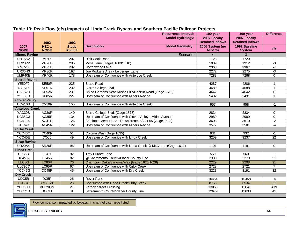| <b>Model Hydrology:</b><br>2007 Locally<br>2007 Locally<br><b>Detained Inflows</b><br><b>Detained Inflows</b><br>1992<br>1992<br><b>Description</b><br><b>Model Geometry:</b><br>HEC-1<br>2006 System (no<br>1992 Baseline<br><b>Study</b><br>2007<br><b>cfs</b><br><b>NODE</b><br><b>NODE</b><br>Point#<br><b>Miners)</b><br><b>System</b><br>Scenario:<br>$\overline{4}$<br>3<br><b>Miners Ravine</b><br><b>UR15K2</b><br><b>MR15</b><br>1729<br>207<br>Dick Cook Road<br>1728<br>$-1$<br><b>UR20P2</b><br>MR <sub>20</sub> R<br>$\overline{205}$<br>1912<br>$-3$<br>Moss Lane (Gages 1609/1610)<br>1909<br><b>YMR29I</b><br>MR <sub>29R</sub><br>Cottonwood Lake<br>$\overline{202}$<br>2367<br>2363<br>-4<br><b>UR30H3</b><br>MR30R<br>197<br>2272<br>2275<br>$-3$<br>Joe Rodgers Area - Leibenger Lane<br>UMR40E<br>MR40R<br>178<br>7288<br>$\overline{0}$<br>Upstream of Confluence with Antelope Creek<br>7288<br><b>Secret Ravine</b><br><b>YE50F2</b><br>SE50R<br>235<br><b>Brace Road</b><br>4287<br>4286<br>$\mathbf{1}$<br>232<br>YSE51K<br>SE51R<br>Sierra College Blvd.<br>4689<br>4688<br>$\mathbf{1}$<br>USE <sub>52D</sub><br>SE52R<br>231<br>China Gardens Near Rustic Hills/Rocklin Road (Gage 1618)<br>4642<br>4642<br>$\pmb{0}$<br><b>YSE85Q</b><br>SE85R<br>$\overline{227}$<br>Upstream of Confluence with Miners Ravine<br>5432<br>5431<br>$\mathbf{1}$<br><b>Clover Valley</b><br>UCV10B<br>CV <sub>10R</sub><br>155<br>Upstream of Confluence with Antelope Creek<br>957<br>958<br>$-1$<br><b>Antelope Creek</b><br>AC30R<br>YAC30B<br>140<br>Sierra College Blvd. (Gage 1573)<br>2834<br>$\mathbf 0$<br>2834<br><b>UC35G3</b><br>AC35R<br>134<br>Upstream of Confluence with Clover Valley - Midas Avenue<br>2989<br>2989<br>$\overline{0}$<br><b>UC41E4</b><br>AC41R<br>126<br>Antelope Creek Road - Downstream of SR-65 (Gage 1583)<br>3608<br>3610<br>$-2$<br>UDC4D<br>AC45R<br>$\overline{122}$<br>Upstream of Confluence with Miners Ravine<br>3577<br>3581<br>$-4$<br><b>Cirby Creek</b><br>YCC40C<br>CC40R<br>$\overline{51}$<br>Coloma Way (Gage 1635)<br>932<br>931<br>$-1$<br>Upstream of Confluence with Linda Creek<br>YCC45E<br>CCC <sub>5</sub><br>49<br>$\overline{22}$<br>3259<br>3237<br><b>Strap Ravine</b><br><b>UR20A4</b><br>SR <sub>20R</sub><br>96<br>Upstream of Confluence with Linda Creek @ McClaren (Gage 1611)<br>$\mathbf 0$<br>1191<br>1191<br><b>Linda Creek</b><br>ULC5B<br>LCC <sub>1</sub><br><b>Troy Purdee Lane</b><br>92<br>560<br>559<br>$-1$<br>LC45R<br>@ Sacramento County/Placer County Line<br><b>UC45J2</b><br>82<br>2330<br>2279<br>51<br><b>ULC801</b><br>LC80R<br>76<br>Champion Oaks/Sanoma Way (Gage 1626/1628)<br>2229<br>2208<br>$\overline{21}$<br>ULC95C<br>LC95R<br>Upstream of Confluence with Cirby Creek<br>67<br>$\overline{7}$<br>2728<br>2721<br>YCC45G<br>CC45R<br>32<br>45<br>Upstream of Confluence with Dry Creek<br>3223<br>3191<br><b>Dry Creek</b><br>DC <sub>5R</sub><br>UDC5B<br>26<br><b>Rover Park</b><br>10454<br>10458<br>$-4$<br><b>YDCCC</b><br><b>RYCOMB</b><br>221<br>$\overline{23}$<br>Confluence with Linda Creek/Cirby Creek<br>8755<br>8534<br>YDC10D<br><b>VERNON</b><br>$\overline{21}$<br>12647<br>Vernon Street Crossing<br>13066<br>419<br>YDC71B<br>DCC11<br>$\overline{9}$<br>Sacramento County/Placer County Line<br>12679<br>12638<br>41 |  | <b>Recurrence Interval:</b> | 100-year | 100-year | <b>Difference</b> |
|-----------------------------------------------------------------------------------------------------------------------------------------------------------------------------------------------------------------------------------------------------------------------------------------------------------------------------------------------------------------------------------------------------------------------------------------------------------------------------------------------------------------------------------------------------------------------------------------------------------------------------------------------------------------------------------------------------------------------------------------------------------------------------------------------------------------------------------------------------------------------------------------------------------------------------------------------------------------------------------------------------------------------------------------------------------------------------------------------------------------------------------------------------------------------------------------------------------------------------------------------------------------------------------------------------------------------------------------------------------------------------------------------------------------------------------------------------------------------------------------------------------------------------------------------------------------------------------------------------------------------------------------------------------------------------------------------------------------------------------------------------------------------------------------------------------------------------------------------------------------------------------------------------------------------------------------------------------------------------------------------------------------------------------------------------------------------------------------------------------------------------------------------------------------------------------------------------------------------------------------------------------------------------------------------------------------------------------------------------------------------------------------------------------------------------------------------------------------------------------------------------------------------------------------------------------------------------------------------------------------------------------------------------------------------------------------------------------------------------------------------------------------------------------------------------------------------------------------------------------------------------------------------------------------------------------------------------------------------------------------------------------------------------------------------------------------------------------------------------------------------------------------------------------------------------------------------------------------------------------------------------------------------------------------------------------------------------------------------------------------|--|-----------------------------|----------|----------|-------------------|
|                                                                                                                                                                                                                                                                                                                                                                                                                                                                                                                                                                                                                                                                                                                                                                                                                                                                                                                                                                                                                                                                                                                                                                                                                                                                                                                                                                                                                                                                                                                                                                                                                                                                                                                                                                                                                                                                                                                                                                                                                                                                                                                                                                                                                                                                                                                                                                                                                                                                                                                                                                                                                                                                                                                                                                                                                                                                                                                                                                                                                                                                                                                                                                                                                                                                                                                                                                 |  |                             |          |          |                   |
|                                                                                                                                                                                                                                                                                                                                                                                                                                                                                                                                                                                                                                                                                                                                                                                                                                                                                                                                                                                                                                                                                                                                                                                                                                                                                                                                                                                                                                                                                                                                                                                                                                                                                                                                                                                                                                                                                                                                                                                                                                                                                                                                                                                                                                                                                                                                                                                                                                                                                                                                                                                                                                                                                                                                                                                                                                                                                                                                                                                                                                                                                                                                                                                                                                                                                                                                                                 |  |                             |          |          |                   |
|                                                                                                                                                                                                                                                                                                                                                                                                                                                                                                                                                                                                                                                                                                                                                                                                                                                                                                                                                                                                                                                                                                                                                                                                                                                                                                                                                                                                                                                                                                                                                                                                                                                                                                                                                                                                                                                                                                                                                                                                                                                                                                                                                                                                                                                                                                                                                                                                                                                                                                                                                                                                                                                                                                                                                                                                                                                                                                                                                                                                                                                                                                                                                                                                                                                                                                                                                                 |  |                             |          |          |                   |
|                                                                                                                                                                                                                                                                                                                                                                                                                                                                                                                                                                                                                                                                                                                                                                                                                                                                                                                                                                                                                                                                                                                                                                                                                                                                                                                                                                                                                                                                                                                                                                                                                                                                                                                                                                                                                                                                                                                                                                                                                                                                                                                                                                                                                                                                                                                                                                                                                                                                                                                                                                                                                                                                                                                                                                                                                                                                                                                                                                                                                                                                                                                                                                                                                                                                                                                                                                 |  |                             |          |          |                   |
|                                                                                                                                                                                                                                                                                                                                                                                                                                                                                                                                                                                                                                                                                                                                                                                                                                                                                                                                                                                                                                                                                                                                                                                                                                                                                                                                                                                                                                                                                                                                                                                                                                                                                                                                                                                                                                                                                                                                                                                                                                                                                                                                                                                                                                                                                                                                                                                                                                                                                                                                                                                                                                                                                                                                                                                                                                                                                                                                                                                                                                                                                                                                                                                                                                                                                                                                                                 |  |                             |          |          |                   |
|                                                                                                                                                                                                                                                                                                                                                                                                                                                                                                                                                                                                                                                                                                                                                                                                                                                                                                                                                                                                                                                                                                                                                                                                                                                                                                                                                                                                                                                                                                                                                                                                                                                                                                                                                                                                                                                                                                                                                                                                                                                                                                                                                                                                                                                                                                                                                                                                                                                                                                                                                                                                                                                                                                                                                                                                                                                                                                                                                                                                                                                                                                                                                                                                                                                                                                                                                                 |  |                             |          |          |                   |
|                                                                                                                                                                                                                                                                                                                                                                                                                                                                                                                                                                                                                                                                                                                                                                                                                                                                                                                                                                                                                                                                                                                                                                                                                                                                                                                                                                                                                                                                                                                                                                                                                                                                                                                                                                                                                                                                                                                                                                                                                                                                                                                                                                                                                                                                                                                                                                                                                                                                                                                                                                                                                                                                                                                                                                                                                                                                                                                                                                                                                                                                                                                                                                                                                                                                                                                                                                 |  |                             |          |          |                   |
|                                                                                                                                                                                                                                                                                                                                                                                                                                                                                                                                                                                                                                                                                                                                                                                                                                                                                                                                                                                                                                                                                                                                                                                                                                                                                                                                                                                                                                                                                                                                                                                                                                                                                                                                                                                                                                                                                                                                                                                                                                                                                                                                                                                                                                                                                                                                                                                                                                                                                                                                                                                                                                                                                                                                                                                                                                                                                                                                                                                                                                                                                                                                                                                                                                                                                                                                                                 |  |                             |          |          |                   |
|                                                                                                                                                                                                                                                                                                                                                                                                                                                                                                                                                                                                                                                                                                                                                                                                                                                                                                                                                                                                                                                                                                                                                                                                                                                                                                                                                                                                                                                                                                                                                                                                                                                                                                                                                                                                                                                                                                                                                                                                                                                                                                                                                                                                                                                                                                                                                                                                                                                                                                                                                                                                                                                                                                                                                                                                                                                                                                                                                                                                                                                                                                                                                                                                                                                                                                                                                                 |  |                             |          |          |                   |
|                                                                                                                                                                                                                                                                                                                                                                                                                                                                                                                                                                                                                                                                                                                                                                                                                                                                                                                                                                                                                                                                                                                                                                                                                                                                                                                                                                                                                                                                                                                                                                                                                                                                                                                                                                                                                                                                                                                                                                                                                                                                                                                                                                                                                                                                                                                                                                                                                                                                                                                                                                                                                                                                                                                                                                                                                                                                                                                                                                                                                                                                                                                                                                                                                                                                                                                                                                 |  |                             |          |          |                   |
|                                                                                                                                                                                                                                                                                                                                                                                                                                                                                                                                                                                                                                                                                                                                                                                                                                                                                                                                                                                                                                                                                                                                                                                                                                                                                                                                                                                                                                                                                                                                                                                                                                                                                                                                                                                                                                                                                                                                                                                                                                                                                                                                                                                                                                                                                                                                                                                                                                                                                                                                                                                                                                                                                                                                                                                                                                                                                                                                                                                                                                                                                                                                                                                                                                                                                                                                                                 |  |                             |          |          |                   |
|                                                                                                                                                                                                                                                                                                                                                                                                                                                                                                                                                                                                                                                                                                                                                                                                                                                                                                                                                                                                                                                                                                                                                                                                                                                                                                                                                                                                                                                                                                                                                                                                                                                                                                                                                                                                                                                                                                                                                                                                                                                                                                                                                                                                                                                                                                                                                                                                                                                                                                                                                                                                                                                                                                                                                                                                                                                                                                                                                                                                                                                                                                                                                                                                                                                                                                                                                                 |  |                             |          |          |                   |
|                                                                                                                                                                                                                                                                                                                                                                                                                                                                                                                                                                                                                                                                                                                                                                                                                                                                                                                                                                                                                                                                                                                                                                                                                                                                                                                                                                                                                                                                                                                                                                                                                                                                                                                                                                                                                                                                                                                                                                                                                                                                                                                                                                                                                                                                                                                                                                                                                                                                                                                                                                                                                                                                                                                                                                                                                                                                                                                                                                                                                                                                                                                                                                                                                                                                                                                                                                 |  |                             |          |          |                   |
|                                                                                                                                                                                                                                                                                                                                                                                                                                                                                                                                                                                                                                                                                                                                                                                                                                                                                                                                                                                                                                                                                                                                                                                                                                                                                                                                                                                                                                                                                                                                                                                                                                                                                                                                                                                                                                                                                                                                                                                                                                                                                                                                                                                                                                                                                                                                                                                                                                                                                                                                                                                                                                                                                                                                                                                                                                                                                                                                                                                                                                                                                                                                                                                                                                                                                                                                                                 |  |                             |          |          |                   |
|                                                                                                                                                                                                                                                                                                                                                                                                                                                                                                                                                                                                                                                                                                                                                                                                                                                                                                                                                                                                                                                                                                                                                                                                                                                                                                                                                                                                                                                                                                                                                                                                                                                                                                                                                                                                                                                                                                                                                                                                                                                                                                                                                                                                                                                                                                                                                                                                                                                                                                                                                                                                                                                                                                                                                                                                                                                                                                                                                                                                                                                                                                                                                                                                                                                                                                                                                                 |  |                             |          |          |                   |
|                                                                                                                                                                                                                                                                                                                                                                                                                                                                                                                                                                                                                                                                                                                                                                                                                                                                                                                                                                                                                                                                                                                                                                                                                                                                                                                                                                                                                                                                                                                                                                                                                                                                                                                                                                                                                                                                                                                                                                                                                                                                                                                                                                                                                                                                                                                                                                                                                                                                                                                                                                                                                                                                                                                                                                                                                                                                                                                                                                                                                                                                                                                                                                                                                                                                                                                                                                 |  |                             |          |          |                   |
|                                                                                                                                                                                                                                                                                                                                                                                                                                                                                                                                                                                                                                                                                                                                                                                                                                                                                                                                                                                                                                                                                                                                                                                                                                                                                                                                                                                                                                                                                                                                                                                                                                                                                                                                                                                                                                                                                                                                                                                                                                                                                                                                                                                                                                                                                                                                                                                                                                                                                                                                                                                                                                                                                                                                                                                                                                                                                                                                                                                                                                                                                                                                                                                                                                                                                                                                                                 |  |                             |          |          |                   |
|                                                                                                                                                                                                                                                                                                                                                                                                                                                                                                                                                                                                                                                                                                                                                                                                                                                                                                                                                                                                                                                                                                                                                                                                                                                                                                                                                                                                                                                                                                                                                                                                                                                                                                                                                                                                                                                                                                                                                                                                                                                                                                                                                                                                                                                                                                                                                                                                                                                                                                                                                                                                                                                                                                                                                                                                                                                                                                                                                                                                                                                                                                                                                                                                                                                                                                                                                                 |  |                             |          |          |                   |
|                                                                                                                                                                                                                                                                                                                                                                                                                                                                                                                                                                                                                                                                                                                                                                                                                                                                                                                                                                                                                                                                                                                                                                                                                                                                                                                                                                                                                                                                                                                                                                                                                                                                                                                                                                                                                                                                                                                                                                                                                                                                                                                                                                                                                                                                                                                                                                                                                                                                                                                                                                                                                                                                                                                                                                                                                                                                                                                                                                                                                                                                                                                                                                                                                                                                                                                                                                 |  |                             |          |          |                   |
|                                                                                                                                                                                                                                                                                                                                                                                                                                                                                                                                                                                                                                                                                                                                                                                                                                                                                                                                                                                                                                                                                                                                                                                                                                                                                                                                                                                                                                                                                                                                                                                                                                                                                                                                                                                                                                                                                                                                                                                                                                                                                                                                                                                                                                                                                                                                                                                                                                                                                                                                                                                                                                                                                                                                                                                                                                                                                                                                                                                                                                                                                                                                                                                                                                                                                                                                                                 |  |                             |          |          |                   |
|                                                                                                                                                                                                                                                                                                                                                                                                                                                                                                                                                                                                                                                                                                                                                                                                                                                                                                                                                                                                                                                                                                                                                                                                                                                                                                                                                                                                                                                                                                                                                                                                                                                                                                                                                                                                                                                                                                                                                                                                                                                                                                                                                                                                                                                                                                                                                                                                                                                                                                                                                                                                                                                                                                                                                                                                                                                                                                                                                                                                                                                                                                                                                                                                                                                                                                                                                                 |  |                             |          |          |                   |
|                                                                                                                                                                                                                                                                                                                                                                                                                                                                                                                                                                                                                                                                                                                                                                                                                                                                                                                                                                                                                                                                                                                                                                                                                                                                                                                                                                                                                                                                                                                                                                                                                                                                                                                                                                                                                                                                                                                                                                                                                                                                                                                                                                                                                                                                                                                                                                                                                                                                                                                                                                                                                                                                                                                                                                                                                                                                                                                                                                                                                                                                                                                                                                                                                                                                                                                                                                 |  |                             |          |          |                   |
|                                                                                                                                                                                                                                                                                                                                                                                                                                                                                                                                                                                                                                                                                                                                                                                                                                                                                                                                                                                                                                                                                                                                                                                                                                                                                                                                                                                                                                                                                                                                                                                                                                                                                                                                                                                                                                                                                                                                                                                                                                                                                                                                                                                                                                                                                                                                                                                                                                                                                                                                                                                                                                                                                                                                                                                                                                                                                                                                                                                                                                                                                                                                                                                                                                                                                                                                                                 |  |                             |          |          |                   |
|                                                                                                                                                                                                                                                                                                                                                                                                                                                                                                                                                                                                                                                                                                                                                                                                                                                                                                                                                                                                                                                                                                                                                                                                                                                                                                                                                                                                                                                                                                                                                                                                                                                                                                                                                                                                                                                                                                                                                                                                                                                                                                                                                                                                                                                                                                                                                                                                                                                                                                                                                                                                                                                                                                                                                                                                                                                                                                                                                                                                                                                                                                                                                                                                                                                                                                                                                                 |  |                             |          |          |                   |
|                                                                                                                                                                                                                                                                                                                                                                                                                                                                                                                                                                                                                                                                                                                                                                                                                                                                                                                                                                                                                                                                                                                                                                                                                                                                                                                                                                                                                                                                                                                                                                                                                                                                                                                                                                                                                                                                                                                                                                                                                                                                                                                                                                                                                                                                                                                                                                                                                                                                                                                                                                                                                                                                                                                                                                                                                                                                                                                                                                                                                                                                                                                                                                                                                                                                                                                                                                 |  |                             |          |          |                   |
|                                                                                                                                                                                                                                                                                                                                                                                                                                                                                                                                                                                                                                                                                                                                                                                                                                                                                                                                                                                                                                                                                                                                                                                                                                                                                                                                                                                                                                                                                                                                                                                                                                                                                                                                                                                                                                                                                                                                                                                                                                                                                                                                                                                                                                                                                                                                                                                                                                                                                                                                                                                                                                                                                                                                                                                                                                                                                                                                                                                                                                                                                                                                                                                                                                                                                                                                                                 |  |                             |          |          |                   |
|                                                                                                                                                                                                                                                                                                                                                                                                                                                                                                                                                                                                                                                                                                                                                                                                                                                                                                                                                                                                                                                                                                                                                                                                                                                                                                                                                                                                                                                                                                                                                                                                                                                                                                                                                                                                                                                                                                                                                                                                                                                                                                                                                                                                                                                                                                                                                                                                                                                                                                                                                                                                                                                                                                                                                                                                                                                                                                                                                                                                                                                                                                                                                                                                                                                                                                                                                                 |  |                             |          |          |                   |
|                                                                                                                                                                                                                                                                                                                                                                                                                                                                                                                                                                                                                                                                                                                                                                                                                                                                                                                                                                                                                                                                                                                                                                                                                                                                                                                                                                                                                                                                                                                                                                                                                                                                                                                                                                                                                                                                                                                                                                                                                                                                                                                                                                                                                                                                                                                                                                                                                                                                                                                                                                                                                                                                                                                                                                                                                                                                                                                                                                                                                                                                                                                                                                                                                                                                                                                                                                 |  |                             |          |          |                   |
|                                                                                                                                                                                                                                                                                                                                                                                                                                                                                                                                                                                                                                                                                                                                                                                                                                                                                                                                                                                                                                                                                                                                                                                                                                                                                                                                                                                                                                                                                                                                                                                                                                                                                                                                                                                                                                                                                                                                                                                                                                                                                                                                                                                                                                                                                                                                                                                                                                                                                                                                                                                                                                                                                                                                                                                                                                                                                                                                                                                                                                                                                                                                                                                                                                                                                                                                                                 |  |                             |          |          |                   |
|                                                                                                                                                                                                                                                                                                                                                                                                                                                                                                                                                                                                                                                                                                                                                                                                                                                                                                                                                                                                                                                                                                                                                                                                                                                                                                                                                                                                                                                                                                                                                                                                                                                                                                                                                                                                                                                                                                                                                                                                                                                                                                                                                                                                                                                                                                                                                                                                                                                                                                                                                                                                                                                                                                                                                                                                                                                                                                                                                                                                                                                                                                                                                                                                                                                                                                                                                                 |  |                             |          |          |                   |
|                                                                                                                                                                                                                                                                                                                                                                                                                                                                                                                                                                                                                                                                                                                                                                                                                                                                                                                                                                                                                                                                                                                                                                                                                                                                                                                                                                                                                                                                                                                                                                                                                                                                                                                                                                                                                                                                                                                                                                                                                                                                                                                                                                                                                                                                                                                                                                                                                                                                                                                                                                                                                                                                                                                                                                                                                                                                                                                                                                                                                                                                                                                                                                                                                                                                                                                                                                 |  |                             |          |          |                   |
|                                                                                                                                                                                                                                                                                                                                                                                                                                                                                                                                                                                                                                                                                                                                                                                                                                                                                                                                                                                                                                                                                                                                                                                                                                                                                                                                                                                                                                                                                                                                                                                                                                                                                                                                                                                                                                                                                                                                                                                                                                                                                                                                                                                                                                                                                                                                                                                                                                                                                                                                                                                                                                                                                                                                                                                                                                                                                                                                                                                                                                                                                                                                                                                                                                                                                                                                                                 |  |                             |          |          |                   |
|                                                                                                                                                                                                                                                                                                                                                                                                                                                                                                                                                                                                                                                                                                                                                                                                                                                                                                                                                                                                                                                                                                                                                                                                                                                                                                                                                                                                                                                                                                                                                                                                                                                                                                                                                                                                                                                                                                                                                                                                                                                                                                                                                                                                                                                                                                                                                                                                                                                                                                                                                                                                                                                                                                                                                                                                                                                                                                                                                                                                                                                                                                                                                                                                                                                                                                                                                                 |  |                             |          |          |                   |
|                                                                                                                                                                                                                                                                                                                                                                                                                                                                                                                                                                                                                                                                                                                                                                                                                                                                                                                                                                                                                                                                                                                                                                                                                                                                                                                                                                                                                                                                                                                                                                                                                                                                                                                                                                                                                                                                                                                                                                                                                                                                                                                                                                                                                                                                                                                                                                                                                                                                                                                                                                                                                                                                                                                                                                                                                                                                                                                                                                                                                                                                                                                                                                                                                                                                                                                                                                 |  |                             |          |          |                   |
|                                                                                                                                                                                                                                                                                                                                                                                                                                                                                                                                                                                                                                                                                                                                                                                                                                                                                                                                                                                                                                                                                                                                                                                                                                                                                                                                                                                                                                                                                                                                                                                                                                                                                                                                                                                                                                                                                                                                                                                                                                                                                                                                                                                                                                                                                                                                                                                                                                                                                                                                                                                                                                                                                                                                                                                                                                                                                                                                                                                                                                                                                                                                                                                                                                                                                                                                                                 |  |                             |          |          |                   |
|                                                                                                                                                                                                                                                                                                                                                                                                                                                                                                                                                                                                                                                                                                                                                                                                                                                                                                                                                                                                                                                                                                                                                                                                                                                                                                                                                                                                                                                                                                                                                                                                                                                                                                                                                                                                                                                                                                                                                                                                                                                                                                                                                                                                                                                                                                                                                                                                                                                                                                                                                                                                                                                                                                                                                                                                                                                                                                                                                                                                                                                                                                                                                                                                                                                                                                                                                                 |  |                             |          |          |                   |
|                                                                                                                                                                                                                                                                                                                                                                                                                                                                                                                                                                                                                                                                                                                                                                                                                                                                                                                                                                                                                                                                                                                                                                                                                                                                                                                                                                                                                                                                                                                                                                                                                                                                                                                                                                                                                                                                                                                                                                                                                                                                                                                                                                                                                                                                                                                                                                                                                                                                                                                                                                                                                                                                                                                                                                                                                                                                                                                                                                                                                                                                                                                                                                                                                                                                                                                                                                 |  |                             |          |          |                   |
|                                                                                                                                                                                                                                                                                                                                                                                                                                                                                                                                                                                                                                                                                                                                                                                                                                                                                                                                                                                                                                                                                                                                                                                                                                                                                                                                                                                                                                                                                                                                                                                                                                                                                                                                                                                                                                                                                                                                                                                                                                                                                                                                                                                                                                                                                                                                                                                                                                                                                                                                                                                                                                                                                                                                                                                                                                                                                                                                                                                                                                                                                                                                                                                                                                                                                                                                                                 |  |                             |          |          |                   |

### **Table 13: Peak Flow (cfs) Impacts of Linda Creek Bypass and Southern Pacific Railroad Projects**

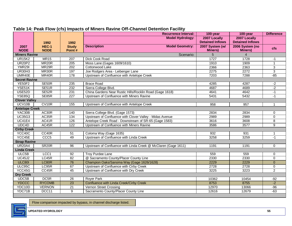|                       |                      |                        | <b>Recurrence Interval:</b>                                    | 100-year                          | 100-year                          | <b>Difference</b> |
|-----------------------|----------------------|------------------------|----------------------------------------------------------------|-----------------------------------|-----------------------------------|-------------------|
|                       |                      |                        | <b>Model Hydrology:</b>                                        | 2007 Locally                      | 2007 Locally                      |                   |
|                       | 1992                 | 1992                   |                                                                | <b>Detained Inflows</b>           | <b>Detained Inflows</b>           |                   |
| 2007<br><b>NODE</b>   | HEC-1<br><b>NODE</b> | <b>Study</b><br>Point# | <b>Description</b><br><b>Model Geometry:</b>                   | 2007 System (w/<br><b>Miners)</b> | 2006 System (no<br><b>Miners)</b> | <b>cfs</b>        |
| <b>Miners Ravine</b>  |                      |                        | Scenario:                                                      | 5                                 | $\overline{4}$                    |                   |
| <b>UR15K2</b>         | <b>MR15</b>          | 207                    | Dick Cook Road                                                 | 1727                              | 1728                              | $-1$              |
| <b>UR20P2</b>         | MR <sub>20</sub> R   | $\overline{205}$       | Moss Lane (Gages 1609/1610)                                    | 1910                              | 1909                              | 1                 |
| <b>YMR29I</b>         | MR <sub>29</sub> R   | 202                    | Cottonwood Lake                                                | 2366                              | 2363                              | 3                 |
| <b>UR30H3</b>         | MR30R                | 197                    | Joe Rodgers Area - Leibenger Lane                              | 2275                              | 2272                              | 3                 |
| UMR40E                | MR40R                | 178                    | Upstream of Confluence with Antelope Creek                     | 7203                              | 7288                              | $-85$             |
| <b>Secret Ravine</b>  |                      |                        |                                                                |                                   |                                   |                   |
| YE50F2                | SE50R                | 235                    | <b>Brace Road</b>                                              | 4285                              | 4287                              | $-2$              |
| YSE51K                | SE51R                | 232                    | Sierra College Blvd.                                           | 4687                              | 4689                              | $-2$              |
| USE <sub>52D</sub>    | SE52R                | 231                    | China Gardens Near Rustic Hills/Rocklin Road (Gage 1618)       | 4641                              | 4642                              | $-1$              |
| <b>YSE85Q</b>         | SE85R                | 227                    | Upstream of Confluence with Miners Ravine                      | 5431                              | 5432                              | $-1$              |
| <b>Clover Valley</b>  |                      |                        |                                                                |                                   |                                   |                   |
| UCV10B                | CV10R                | 155                    | Upstream of Confluence with Antelope Creek                     | 958                               | 957                               | 1                 |
| <b>Antelope Creek</b> |                      |                        |                                                                |                                   |                                   |                   |
| YAC30B                | AC30R                | 140                    | Sierra College Blvd. (Gage 1573)                               | 2834                              | 2834                              | 0                 |
| <b>UC35G3</b>         | AC35R                | 134                    | Upstream of Confluence with Clover Valley - Midas Avenue       | 2989                              | 2989                              | 0                 |
| <b>UC41E4</b>         | AC41R                | 126                    | Antelope Creek Road - Downstream of SR-65 (Gage 1583)          | 3616                              | 3608                              | $\overline{8}$    |
| UDC4D                 | AC45R                | 122                    | Upstream of Confluence with Miners Ravine                      | 3586                              | 3577                              | $\overline{9}$    |
| <b>Cirby Creek</b>    |                      |                        |                                                                |                                   |                                   |                   |
| YCC40C                | CC40R                | $\overline{51}$        | Coloma Way (Gage 1635)                                         | 932                               | 931                               | $\mathbf{1}$      |
| YCC45E                | CCC <sub>5</sub>     | 49                     | Upstream of Confluence with Linda Creek                        | 3258                              | 3259                              | $-1$              |
| <b>Strap Ravine</b>   |                      |                        |                                                                |                                   |                                   |                   |
| <b>UR20A4</b>         | SR <sub>20</sub> R   | 96                     | Upstream of Confluence with Linda Creek @ McClaren (Gage 1611) | 1191                              | 1191                              | $\mathbf 0$       |
| <b>Linda Creek</b>    |                      |                        |                                                                |                                   |                                   |                   |
| ULC5B                 | LCC1                 | 92                     | <b>Troy Purdee Lane</b>                                        | 559                               | 559                               | 0                 |
| <b>UC45J2</b>         | LC45R                | 82                     | @ Sacramento County/Placer County Line                         | 2330                              | 2330                              | $\overline{0}$    |
| <b>ULC801</b>         | LC80R                | 76                     | Champion Oaks/Sanoma Way (Gage 1626/1628)                      | 2229                              | 2229                              | $\Omega$          |
| ULC95C                | LC95R                | 67                     | Upstream of Confluence with Cirby Creek                        | 2728                              | 2728                              | 0                 |
| YCC45G                | CC45R                | 45                     | Upstream of Confluence with Dry Creek                          | 3225                              | 3223                              | $\overline{2}$    |
| <b>Dry Creek</b>      |                      |                        |                                                                |                                   |                                   |                   |
| UDC5B                 | DC5R                 | 26                     | <b>Rover Park</b>                                              | 10362                             | 10454                             | $-92$             |
| <b>YDCCC</b>          | <b>RYCOMB</b>        | 23                     | Confluence with Linda Creek/Cirby Creek                        | 8753                              | 8755                              | $-2$              |
| YDC10D                | <b>VERNON</b>        | $\overline{21}$        | Vernon Street Crossing                                         | 12970                             | 13066                             | $-96$             |
| YDC71B                | DCC11                | $\overline{9}$         | Sacramento County/Placer County Line                           | 12616                             | 12679                             | $-63$             |

#### **Table 14: Peak Flow (cfs) Impacts of Miners Ravine Off-Channel Detention Facility**

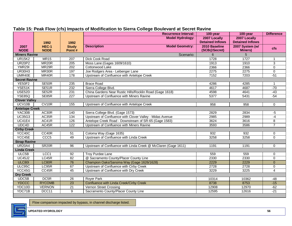|                       |                      |                        | <b>Recurrence Interval:</b>                                    | 100-year                      | 100-year                          | <b>Difference</b> |
|-----------------------|----------------------|------------------------|----------------------------------------------------------------|-------------------------------|-----------------------------------|-------------------|
|                       |                      |                        | <b>Model Hydrology:</b>                                        | 2007 Locally                  | 2007 Locally                      |                   |
|                       | 1992                 | 1992                   |                                                                | <b>Detained Inflows</b>       | <b>Detained Inflows</b>           |                   |
| 2007<br><b>NODE</b>   | HEC-1<br><b>NODE</b> | <b>Study</b><br>Point# | <b>Description</b><br><b>Model Geometry:</b>                   | 2010 Baseline<br>(SCB@Secret) | 2007 System (w/<br><b>Miners)</b> | <b>cfs</b>        |
| <b>Miners Ravine</b>  |                      |                        | Scenario:                                                      | 6                             | 5                                 |                   |
| <b>UR15K2</b>         | <b>MR15</b>          | 207                    | Dick Cook Road                                                 | 1728                          | 1727                              | -1                |
| <b>UR20P2</b>         | MR <sub>20</sub> R   | 205                    | Moss Lane (Gages 1609/1610)                                    | 1913                          | 1910                              | $\overline{3}$    |
| <b>YMR29I</b>         | MR <sub>29R</sub>    | $\overline{202}$       | Cottonwood Lake                                                | 2366                          | 2366                              | 0                 |
| <b>UR30H3</b>         | MR30R                | 197                    | Joe Rodgers Area - Leibenger Lane                              | 2275                          | 2275                              | $\pmb{0}$         |
| UMR40E                | MR40R                | 178                    | Upstream of Confluence with Antelope Creek                     | 7152                          | 7203                              | $-51$             |
| <b>Secret Ravine</b>  |                      |                        |                                                                |                               |                                   |                   |
| <b>YE50F2</b>         | SE50R                | 235                    | <b>Brace Road</b>                                              | 4286                          | 4285                              |                   |
| YSE51K                | SE51R                | 232                    | Sierra College Blvd.                                           | 4617                          | 4687                              | $-70$             |
| USE <sub>52D</sub>    | SE52R                | 231                    | China Gardens Near Rustic Hills/Rocklin Road (Gage 1618)       | 4598                          | 4641                              | $-43$             |
| <b>YSE85Q</b>         | SE85R                | 227                    | Upstream of Confluence with Miners Ravine                      | 5377                          | 5431                              | $-54$             |
| <b>Clover Valley</b>  |                      |                        |                                                                |                               |                                   |                   |
| UCV10B                | CV <sub>10R</sub>    | 155                    | Upstream of Confluence with Antelope Creek                     | 958                           | 958                               | 0                 |
| <b>Antelope Creek</b> |                      |                        |                                                                |                               |                                   |                   |
| YAC30B                | AC30R                | 140                    | Sierra College Blvd. (Gage 1573)                               | 2829                          | 2834                              | $-5$              |
| <b>UC35G3</b>         | AC35R                | 134                    | Upstream of Confluence with Clover Valley - Midas Avenue       | 2985                          | 2989                              | -4                |
| <b>UC41E4</b>         | AC41R                | 126                    | Antelope Creek Road - Downstream of SR-65 (Gage 1583)          | 3624                          | 3616                              | 8                 |
| UDC4D                 | AC45R                | 122                    | Upstream of Confluence with Miners Ravine                      | 3593                          | 3586                              | $\overline{7}$    |
| <b>Cirby Creek</b>    |                      |                        |                                                                |                               |                                   |                   |
| YCC40C                | CC40R                | 51                     | Coloma Way (Gage 1635)                                         | 932                           | 932                               | 0                 |
| YCC45E                | CCC <sub>5</sub>     | 49                     | Upstream of Confluence with Linda Creek                        | 3258                          | 3258                              | $\Omega$          |
| <b>Strap Ravine</b>   |                      |                        |                                                                |                               |                                   |                   |
| <b>UR20A4</b>         | SR <sub>20R</sub>    | $\overline{96}$        | Upstream of Confluence with Linda Creek @ McClaren (Gage 1611) | 1191                          | 1191                              | 0                 |
| <b>Linda Creek</b>    |                      |                        |                                                                |                               |                                   |                   |
| ULC5B                 | LCC <sub>1</sub>     | 92                     | <b>Troy Purdee Lane</b>                                        | 559                           | 559                               | $\pmb{0}$         |
| <b>UC45J2</b>         | LC45R                | $\overline{82}$        | @ Sacramento County/Placer County Line                         | 2330                          | 2330                              | $\overline{0}$    |
| <b>ULC801</b>         | LC80R                | 76                     | Champion Oaks/Sanoma Way (Gage 1626/1628)                      | 2229                          | 2229                              | $\mathbf{0}$      |
| ULC95C                | LC95R                | 67                     | Upstream of Confluence with Cirby Creek                        | 2728                          | 2728                              | $\mathbf 0$       |
| YCC45G                | CC45R                | 45                     | Upstream of Confluence with Dry Creek                          | 3229                          | 3225                              | $\overline{4}$    |
| <b>Dry Creek</b>      |                      |                        |                                                                |                               |                                   |                   |
| UDC5B                 | DC <sub>5R</sub>     | $\overline{26}$        | <b>Royer Park</b>                                              | 10314                         | 10362                             | $-48$             |
| <b>YDCCC</b>          | <b>RYCOMB</b>        | 23                     | Confluence with Linda Creek/Cirby Creek                        | 8738                          | 8753                              | $-15$             |
| YDC10D                | <b>VERNON</b>        | $\overline{21}$        | Vernon Street Crossing                                         | 12908                         | 12970                             | $-62$             |
| YDC71B                | DCC11                | $\overline{9}$         | Sacramento County/Placer County Line                           | 12595                         | 12616                             | $-21$             |

#### **Table 15: Peak Flow (cfs) Impacts of Modification to Sierra College Boulevard at Secret Ravine**

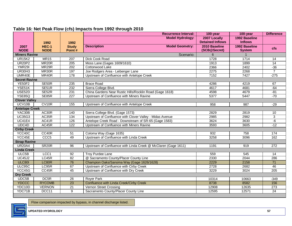#### **Table 16: Net Peak Flow (cfs) Impacts from 1992 through 2010**

|                       |                      |                        | <b>Recurrence Interval:</b>                                    | 100-year                      | 100-year                       | <b>Difference</b> |
|-----------------------|----------------------|------------------------|----------------------------------------------------------------|-------------------------------|--------------------------------|-------------------|
|                       |                      |                        | <b>Model Hydrology:</b>                                        | 2007 Locally                  | 1992 Baseline                  |                   |
|                       | 1992                 | 1992                   |                                                                | <b>Detained Inflows</b>       | <b>Inflows</b>                 |                   |
| 2007<br><b>NODE</b>   | HEC-1<br><b>NODE</b> | <b>Study</b><br>Point# | <b>Description</b><br><b>Model Geometry:</b>                   | 2010 Baseline<br>(SCB@Secret) | 1992 Baseline<br><b>System</b> | <b>cfs</b>        |
| <b>Miners Ravine</b>  |                      |                        | Scenario:                                                      | 6                             |                                |                   |
| <b>UR15K2</b>         | <b>MR15</b>          | 207                    | Dick Cook Road                                                 | 1728                          | 1714                           | $\overline{14}$   |
| <b>UR20P2</b>         | MR <sub>20</sub> R   | $\overline{205}$       | Moss Lane (Gages 1609/1610)                                    | 1913                          | 1899                           | $\overline{14}$   |
| <b>YMR29I</b>         | MR29R                | 202                    | Cottonwood Lake                                                | 2366                          | 2402                           | $-36$             |
| <b>UR30H3</b>         | MR30R                | 197                    | Joe Rodgers Area - Leibenger Lane                              | 2275                          | 2268                           | $\overline{7}$    |
| UMR40E                | MR40R                | 178                    | Upstream of Confluence with Antelope Creek                     | 7152                          | 7427                           | $-275$            |
| <b>Secret Ravine</b>  |                      |                        |                                                                |                               |                                |                   |
| <b>YE50F2</b>         | SE50R                | $\overline{235}$       | <b>Brace Road</b>                                              | 4286                          | 4219                           | 67                |
| YSE51K                | SE51R                | 232                    | Sierra College Blvd.                                           | 4617                          | 4681                           | $-64$             |
| USE <sub>52D</sub>    | SE52R                | 231                    | China Gardens Near Rustic Hills/Rocklin Road (Gage 1618)       | 4598                          | 4679                           | $-81$             |
| <b>YSE85Q</b>         | SE85R                | 227                    | Upstream of Confluence with Miners Ravine                      | 5377                          | 5447                           | $-70$             |
| <b>Clover Valley</b>  |                      |                        |                                                                |                               |                                |                   |
| UCV10B                | CV10R                | 155                    | Upstream of Confluence with Antelope Creek                     | 958                           | 987                            | $-29$             |
| <b>Antelope Creek</b> |                      |                        |                                                                |                               |                                |                   |
| YAC30B                | AC30R                | 140                    | Sierra College Blvd. (Gage 1573)                               | 2829                          | 2819                           | 10                |
| <b>UC35G3</b>         | AC35R                | 134                    | Upstream of Confluence with Clover Valley - Midas Avenue       | 2985                          | 2982                           | $\overline{3}$    |
| <b>UC41E4</b>         | AC41R                | 126                    | Antelope Creek Road - Downstream of SR-65 (Gage 1583)          | 3624                          | 3630                           | $-6$              |
| UDC4D                 | AC45R                | 122                    | Upstream of Confluence with Miners Ravine                      | 3593                          | 3605                           | $-12$             |
| <b>Cirby Creek</b>    |                      |                        |                                                                |                               |                                |                   |
| YCC40C                | CC40R                | 51                     | Coloma Way (Gage 1635)                                         | 932                           | 758                            | 174               |
| YCC45E                | CCC <sub>5</sub>     | 49                     | Upstream of Confluence with Linda Creek                        | 3258                          | 3096                           | 162               |
| <b>Strap Ravine</b>   |                      |                        |                                                                |                               |                                |                   |
| <b>UR20A4</b>         | SR <sub>20R</sub>    | 96                     | Upstream of Confluence with Linda Creek @ McClaren (Gage 1611) | 1191                          | 919                            | 272               |
| <b>Linda Creek</b>    |                      |                        |                                                                |                               |                                |                   |
| ULC5B                 | LCC1                 | 92                     | <b>Troy Purdee Lane</b>                                        | 559                           | 545                            | 14                |
| <b>UC45J2</b>         | LC45R                | 82                     | @ Sacramento County/Placer County Line                         | 2330                          | 2044                           | 286               |
| <b>ULC801</b>         | LC80R                | 76                     | Champion Oaks/Sanoma Way (Gage 1626/1628)                      | 2229                          | 2158                           | 71                |
| ULC95C                | LC95R                | 67                     | Upstream of Confluence with Cirby Creek                        | 2728                          | 2682                           | 46                |
| YCC45G                | CC45R                | 45                     | Upstream of Confluence with Dry Creek                          | 3229                          | 3024                           | 205               |
| <b>Dry Creek</b>      |                      |                        |                                                                |                               |                                |                   |
| UDC5B                 | DC <sub>5R</sub>     | 26                     | <b>Royer Park</b>                                              | 10314                         | 10663                          | $-349$            |
| <b>YDCCC</b>          | <b>RYCOMB</b>        | $\overline{23}$        | Confluence with Linda Creek/Cirby Creek                        | 8738                          | 8582                           | 156               |
| YDC10D                | <b>VERNON</b>        | $\overline{21}$        | Vernon Street Crossing                                         | 12908                         | 12635                          | 273               |
| YDC71B                | DCC11                | 9                      | Sacramento County/Placer County Line                           | 12595                         | 12571                          | 24                |

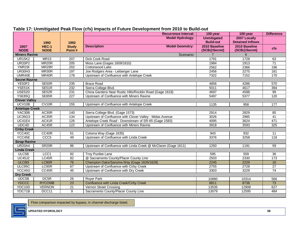|                       |                    |                      | <b>Recurrence Interval:</b>                                    | 100-year                               | 100-year                                | <b>Difference</b> |
|-----------------------|--------------------|----------------------|----------------------------------------------------------------|----------------------------------------|-----------------------------------------|-------------------|
|                       |                    |                      | <b>Model Hydrology:</b>                                        | <b>Unmitigated</b><br><b>Build-out</b> | 2007 Locally<br><b>Detained Inflows</b> |                   |
| 2007                  | 1992<br>HEC-1      | 1992<br><b>Study</b> | <b>Description</b><br><b>Model Geometry:</b>                   | 2010 Baseline                          | 2010 Baseline                           |                   |
| <b>NODE</b>           | <b>NODE</b>        | Point#               |                                                                | (SCB@Secret)                           | (SCB@Secret)                            | <b>cfs</b>        |
| <b>Miners Ravine</b>  |                    |                      | Scenario:                                                      | $\overline{7}$                         | 6                                       |                   |
| <b>UR15K2</b>         | <b>MR15</b>        | 207                  | Dick Cook Road                                                 | 1791                                   | 1728                                    | 63                |
| <b>UR20P2</b>         | MR <sub>20</sub> R | $\overline{205}$     | Moss Lane (Gages 1609/1610)                                    | 1984                                   | 1913                                    | $\overline{71}$   |
| YMR29I                | MR <sub>29</sub> R | 202                  | Cottonwood Lake                                                | 2562                                   | 2366                                    | 196               |
| <b>UR30H3</b>         | MR30R              | 197                  | Joe Rodgers Area - Leibenger Lane                              | 2456                                   | 2275                                    | 181               |
| UMR40E                | MR40R              | 178                  | Upstream of Confluence with Antelope Creek                     | 7322                                   | 7152                                    | 170               |
| <b>Secret Ravine</b>  |                    |                      |                                                                |                                        |                                         |                   |
| YE50F2                | SE50R              | 235                  | <b>Brace Road</b>                                              | 4856                                   | 4286                                    | 570               |
| YSE51K                | SE51R              | 232                  | Sierra College Blvd.                                           | 5011                                   | 4617                                    | 394               |
| USE <sub>52D</sub>    | SE52R              | 231                  | China Gardens Near Rustic Hills/Rocklin Road (Gage 1618)       | 4697                                   | 4598                                    | 99                |
| <b>YSE85Q</b>         | SE85R              | 227                  | Upstream of Confluence with Miners Ravine                      | 5497                                   | 5377                                    | 120               |
| <b>Clover Valley</b>  |                    |                      |                                                                |                                        |                                         |                   |
| UCV10B                | CV10R              | 155                  | Upstream of Confluence with Antelope Creek                     | 1135                                   | 958                                     | 177               |
| <b>Antelope Creek</b> |                    |                      |                                                                |                                        |                                         |                   |
| YAC30B                | AC30R              | 140                  | Sierra College Blvd. (Gage 1573)                               | 2914                                   | 2829                                    | 85                |
| <b>UC35G3</b>         | AC35R              | 134                  | Upstream of Confluence with Clover Valley - Midas Avenue       | 3026                                   | 2985                                    | $\overline{41}$   |
| <b>UC41E4</b>         | AC41R              | 126                  | Antelope Creek Road - Downstream of SR-65 (Gage 1583)          | 4095                                   | 3624                                    | 471               |
| UDC4D                 | AC45R              | 122                  | Upstream of Confluence with Miners Ravine                      | 3918                                   | 3593                                    | 325               |
| <b>Cirby Creek</b>    |                    |                      |                                                                |                                        |                                         |                   |
| YCC40C                | CC40R              | $\overline{51}$      | Coloma Way (Gage 1635)                                         | 943                                    | 932                                     | $\overline{11}$   |
| YCC45E                | CCC <sub>5</sub>   | 49                   | Upstream of Confluence with Linda Creek                        | 3376                                   | 3258                                    | 118               |
| <b>Strap Ravine</b>   |                    |                      |                                                                |                                        |                                         |                   |
| <b>UR20A4</b>         | SR <sub>20R</sub>  | 96                   | Upstream of Confluence with Linda Creek @ McClaren (Gage 1611) | 1250                                   | 1191                                    | 59                |
| <b>Linda Creek</b>    |                    |                      |                                                                |                                        |                                         |                   |
| ULC5B                 | LCC1               | 92                   | <b>Troy Purdee Lane</b>                                        | 595                                    | 559                                     | $\overline{36}$   |
| <b>UC45J2</b>         | LC45R              | 82                   | @ Sacramento County/Placer County Line                         | 2503                                   | 2330                                    | 173               |
| <b>ULC801</b>         | LC80R              | 76                   | Champion Oaks/Sanoma Way (Gage 1626/1628)                      | 2245                                   | 2229                                    | 16                |
| ULC95C                | LC95R              | 67                   | Upstream of Confluence with Cirby Creek                        | 2755                                   | 2728                                    | 27                |
| YCC45G                | CC45R              | 45                   | Upstream of Confluence with Dry Creek                          | 3303                                   | 3229                                    | 74                |
| <b>Dry Creek</b>      |                    |                      |                                                                |                                        |                                         |                   |
| UDC5B                 | DC5R               | 26                   | <b>Rover Park</b>                                              | 10880                                  | 10314                                   | 566               |
| <b>YDCCC</b>          | <b>RYCOMB</b>      | 23                   | Confluence with Linda Creek/Cirby Creek                        | 8811                                   | 8738                                    | 73                |
| YDC10D                | <b>VERNON</b>      | $\overline{21}$      | Vernon Street Crossing                                         | 13535                                  | 12908                                   | 627               |
| YDC71B                | DCC11              | $\overline{9}$       | Sacramento County/Placer County Line                           | 13079                                  | 12595                                   | 484               |

#### **Table 17: Unmitigated Peak Flow (cfs) Impacts of Future Development from 2010 to Build-out**